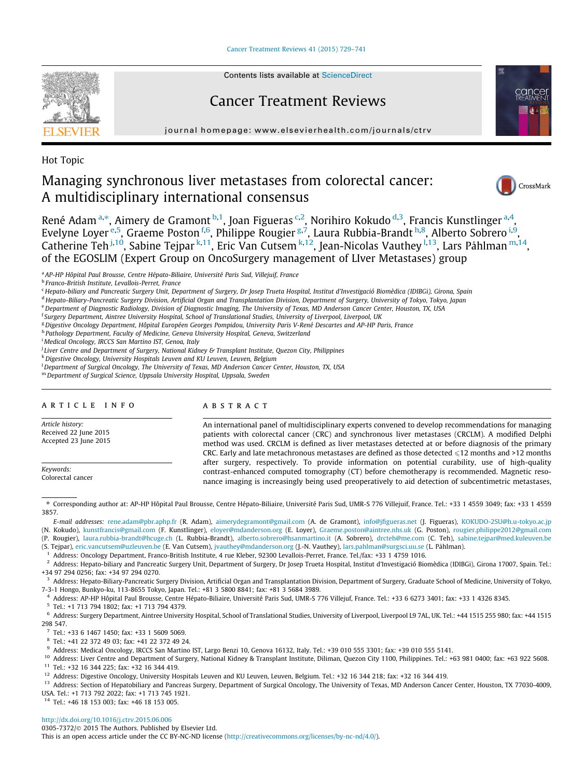[Cancer Treatment Reviews 41 \(2015\) 729–741](https://dx.doi.org/10.1016/j.ctrv.2015.06.006)



Contents lists available at [ScienceDirect](https://www.sciencedirect.com/science/journal/03057372)

# Cancer Treatment Reviews

journal homepage: [www.elsevierhealth.com/journals/ctrv](https://www.elsevierhealth.com/journals/ctrv)

Hot Topic

# Managing synchronous liver metastases from colorectal cancer: A multidisciplinary international consensus



René Adam<sup>a,\*</sup>, Aimery de Gramont b,1, Joan Figueras <sup>c,2</sup>, Norihiro Kokudo <sup>d,3</sup>, Francis Kunstlinger <sup>a,4</sup>, Evelyne Loyer <sup>e,5</sup>, Graeme Poston <sup>f,6</sup>, Philippe Rougier <sup>g,7</sup>, Laura Rubbia-Brandt <sup>h,8</sup>, Alberto Sobrero <sup>i,9</sup>, Catherine Teh <sup>j,10</sup>, Sabine Tejpar <sup>k,11</sup>, Eric Van Cutsem <sup>k,12</sup>, Jean-Nicolas Vauthey <sup>l,13</sup>, Lars Påhlman <sup>m,14</sup>, of the EGOSLIM (Expert Group on OncoSurgery management of LIver Metastases) group

<sup>a</sup> AP-HP Hôpital Paul Brousse, Centre Hépato-Biliaire, Université Paris Sud, Villejuif, France

<sup>b</sup> Franco-British Institute, Levallois-Perret, France

<sup>c</sup> Hepato-biliary and Pancreatic Surgery Unit, Department of Surgery, Dr Josep Trueta Hospital, Institut d'Investigació Biomèdica (IDIBGi), Girona, Spain

<sup>d</sup> Hepato-Biliary-Pancreatic Surgery Division, Artificial Organ and Transplantation Division, Department of Surgery, University of Tokyo, Tokyo, Japan

e Department of Diagnostic Radiology, Division of Diagnostic Imaging, The University of Texas, MD Anderson Cancer Center, Houston, TX, USA

<sup>f</sup> Surgery Department, Aintree University Hospital, School of Translational Studies, University of Liverpool, Liverpool, UK

<sup>g</sup> Digestive Oncology Department, Hôpital Européen Georges Pompidou, University Paris V-René Descartes and AP-HP Paris, France

h Pathology Department, Faculty of Medicine, Geneva University Hospital, Geneva, Switzerland

i Medical Oncology, IRCCS San Martino IST, Genoa, Italy

j Liver Centre and Department of Surgery, National Kidney & Transplant Institute, Quezon City, Philippines

k Digestive Oncology, University Hospitals Leuven and KU Leuven, Leuven, Belgium

l Department of Surgical Oncology, The University of Texas, MD Anderson Cancer Center, Houston, TX, USA

<sup>m</sup> Department of Surgical Science, Uppsala University Hospital, Uppsala, Sweden

## article info

Article history: Received 22 June 2015 Accepted 23 June 2015

Keywords: Colorectal cancer

#### **ABSTRACT**

An international panel of multidisciplinary experts convened to develop recommendations for managing patients with colorectal cancer (CRC) and synchronous liver metastases (CRCLM). A modified Delphi method was used. CRCLM is defined as liver metastases detected at or before diagnosis of the primary CRC. Early and late metachronous metastases are defined as those detected  $\leq 12$  months and >12 months after surgery, respectively. To provide information on potential curability, use of high-quality contrast-enhanced computed tomography (CT) before chemotherapy is recommended. Magnetic resonance imaging is increasingly being used preoperatively to aid detection of subcentimetric metastases,

⇑ Corresponding author at: AP-HP Hôpital Paul Brousse, Centre Hépato-Biliaire, Université Paris Sud, UMR-S 776 Villejuif, France. Tel.: +33 1 4559 3049; fax: +33 1 4559 3857.

E-mail addresses: [rene.adam@pbr.aphp.fr](mailto:rene.adam@pbr.aphp.fr) (R. Adam), [aimerydegramont@gmail.com](mailto:aimerydegramont@gmail.com) (A. de Gramont), [info@jfigueras.net](mailto:info@jfigueras.net) (J. Figueras), [KOKUDO-2SU@h.u-tokyo.ac.jp](mailto:KOKUDO-2SU@h.u-tokyo.ac.jp) (N. Kokudo), [kunstfrancis@gmail.com](mailto:kunstfrancis@gmail.com) (F. Kunstlinger), [eloyer@mdanderson.org](mailto:eloyer@mdanderson.org) (E. Loyer), [Graeme.poston@aintree.nhs.uk](mailto:Graeme.poston@aintree.nhs.uk) (G. Poston), [rougier.philippe2012@gmail.com](mailto:rougier.philippe2012@gmail.com)

(P. Rougier), [laura.rubbia-brandt@hcuge.ch](mailto:laura.rubbia-brandt@hcuge.ch) (L. Rubbia-Brandt), [alberto.sobrero@hsanmartino.it](mailto:alberto.sobrero@hsanmartino.it) (A. Sobrero), [drcteh@me.com](mailto:drcteh@me.com) (C. Teh), [sabine.tejpar@med.kuleuven.be](mailto:sabine.tejpar@med.kuleuven.be)

(S. Tejpar), [eric.vancutsem@uzleuven.be](mailto:eric.vancutsem@uzleuven.be) (E. Van Cutsem), [jvauthey@mdanderson.org](mailto:jvauthey@mdanderson.org) (J.-N. Vauthey), [lars.pahlman@surgsci.uu.se](mailto:lars.pahlman@surgsci.uu.se) (L. Påhlman).

1 Address: Oncology Department, Franco-British Institute, 4 rue Kleber, 92300 Levallois-Perret, France. Tel./fax: +33 1 4759 1016.<br>2 Address: Penate biliary and Pancreatic Surgery Unit, Department of Surgery. Dr. Josep Tru

<sup>2</sup> Address: Hepato-biliary and Pancreatic Surgery Unit, Department of Surgery, Dr Josep Trueta Hospital, Institut d'Investigació Biomèdica (IDIBGi), Girona 17007, Spain. Tel.: +34 97 294 0256; fax: +34 97 294 0270.

<sup>3</sup> Address: Hepato-Biliary-Pancreatic Surgery Division, Artificial Organ and Transplantation Division, Department of Surgery, Graduate School of Medicine, University of Tokyo, 7-3-1 Hongo, Bunkyo-ku, 113-8655 Tokyo, Japan. Tel.: +81 3 5800 8841; fax: +81 3 5684 3989.

4 Address: AP-HP Hôpital Paul Brousse, Centre Hépato-Biliaire, Université Paris Sud, UMR-S 776 Villejuf, France. Tel.: +33 6 6273 3401; fax: +33 1 4326 8345.

<sup>5</sup> Tel.: +1 713 794 1802; fax: +1 713 794 4379.

<sup>6</sup> Address: Surgery Department, Aintree University Hospital, School of Translational Studies, University of Liverpool, Liverpool L9 7AL, UK. Tel.: +44 1515 255 980; fax: +44 1515 298 547.

 $^7$  Tel.: +33 6 1467 1450; fax: +33 1 5609 5069.

<sup>8</sup> Tel.: +41 22 372 49 03; fax: +41 22 372 49 24.

<sup>9</sup> Address: Medical Oncology, IRCCS San Martino IST, Largo Benzi 10, Genova 16132, Italy. Tel.: +39 010 555 3301; fax: +39 010 555 5141.

<sup>10</sup> Address: Liver Centre and Department of Surgery, National Kidney & Transplant Institute, Diliman, Quezon City 1100, Philippines. Tel.: +63 981 0400; fax: +63 922 5608. <sup>11</sup> Tel.: +32 16 344 225; fax: +32 16 344 419.

<sup>12</sup> Address: Digestive Oncology, University Hospitals Leuven and KU Leuven, Leuven, Belgium. Tel.: +32 16 344 218; fax: +32 16 344 419.

<sup>13</sup> Address: Section of Hepatobiliary and Pancreas Surgery, Department of Surgical Oncology, The University of Texas, MD Anderson Cancer Center, Houston, TX 77030-4009, USA. Tel.: +1 713 792 2022; fax: +1 713 745 1921.

<sup>14</sup> Tel.: +46 18 153 003; fax: +46 18 153 005.

[http://dx.doi.org/10.1016/j.ctrv.2015.06.006](https://dx.doi.org/10.1016/j.ctrv.2015.06.006)

0305-7372/© 2015 The Authors. Published by Elsevier Ltd.

This is an open access article under the CC BY-NC-ND license ([http://creativecommons.org/licenses/by-nc-nd/4.0/\)](https://creativecommons.org/licenses/by-nc-nd/4.0/).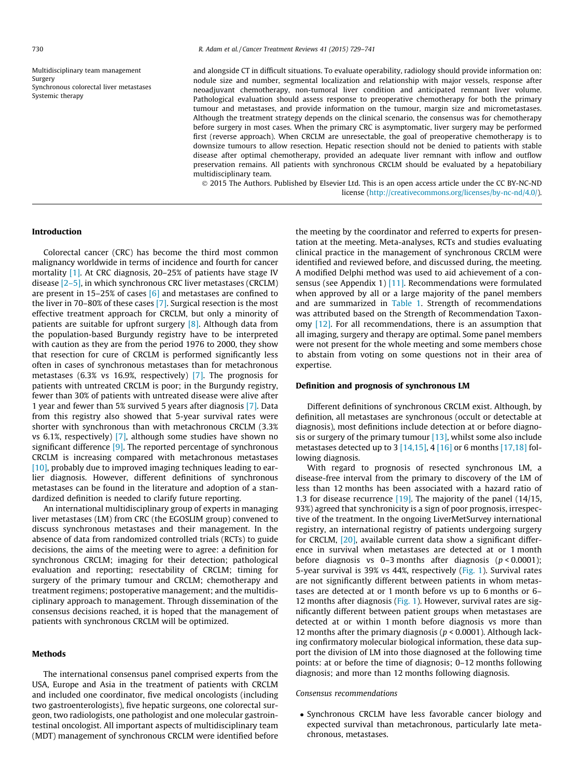Multidisciplinary team management Surgery Synchronous colorectal liver metastases Systemic therapy

and alongside CT in difficult situations. To evaluate operability, radiology should provide information on: nodule size and number, segmental localization and relationship with major vessels, response after neoadjuvant chemotherapy, non-tumoral liver condition and anticipated remnant liver volume. Pathological evaluation should assess response to preoperative chemotherapy for both the primary tumour and metastases, and provide information on the tumour, margin size and micrometastases. Although the treatment strategy depends on the clinical scenario, the consensus was for chemotherapy before surgery in most cases. When the primary CRC is asymptomatic, liver surgery may be performed first (reverse approach). When CRCLM are unresectable, the goal of preoperative chemotherapy is to downsize tumours to allow resection. Hepatic resection should not be denied to patients with stable disease after optimal chemotherapy, provided an adequate liver remnant with inflow and outflow preservation remains. All patients with synchronous CRCLM should be evaluated by a hepatobiliary multidisciplinary team.

© 2015 The Authors. Published by Elsevier Ltd. This is an open access article under the CC BY-NC-ND license ([http://creativecommons.org/licenses/by-nc-nd/4.0/](https://creativecommons.org/licenses/by-nc-nd/4.0/)).

#### Introduction

Colorectal cancer (CRC) has become the third most common malignancy worldwide in terms of incidence and fourth for cancer mortality [\[1\].](#page-10-0) At CRC diagnosis, 20–25% of patients have stage IV disease [\[2–5\]](#page-10-0), in which synchronous CRC liver metastases (CRCLM) are present in 15–25% of cases  $[6]$  and metastases are confined to the liver in 70–80% of these cases [\[7\]](#page-10-0). Surgical resection is the most effective treatment approach for CRCLM, but only a minority of patients are suitable for upfront surgery [\[8\].](#page-10-0) Although data from the population-based Burgundy registry have to be interpreted with caution as they are from the period 1976 to 2000, they show that resection for cure of CRCLM is performed significantly less often in cases of synchronous metastases than for metachronous metastases (6.3% vs 16.9%, respectively) [\[7\]](#page-10-0). The prognosis for patients with untreated CRCLM is poor; in the Burgundy registry, fewer than 30% of patients with untreated disease were alive after 1 year and fewer than 5% survived 5 years after diagnosis [\[7\]](#page-10-0). Data from this registry also showed that 5-year survival rates were shorter with synchronous than with metachronous CRCLM (3.3% vs 6.1%, respectively) [\[7\],](#page-10-0) although some studies have shown no significant difference  $[9]$ . The reported percentage of synchronous CRCLM is increasing compared with metachronous metastases [\[10\]](#page-10-0), probably due to improved imaging techniques leading to earlier diagnosis. However, different definitions of synchronous metastases can be found in the literature and adoption of a standardized definition is needed to clarify future reporting.

An international multidisciplinary group of experts in managing liver metastases (LM) from CRC (the EGOSLIM group) convened to discuss synchronous metastases and their management. In the absence of data from randomized controlled trials (RCTs) to guide decisions, the aims of the meeting were to agree: a definition for synchronous CRCLM; imaging for their detection; pathological evaluation and reporting; resectability of CRCLM; timing for surgery of the primary tumour and CRCLM; chemotherapy and treatment regimens; postoperative management; and the multidisciplinary approach to management. Through dissemination of the consensus decisions reached, it is hoped that the management of patients with synchronous CRCLM will be optimized.

#### Methods

The international consensus panel comprised experts from the USA, Europe and Asia in the treatment of patients with CRCLM and included one coordinator, five medical oncologists (including two gastroenterologists), five hepatic surgeons, one colorectal surgeon, two radiologists, one pathologist and one molecular gastrointestinal oncologist. All important aspects of multidisciplinary team (MDT) management of synchronous CRCLM were identified before the meeting by the coordinator and referred to experts for presentation at the meeting. Meta-analyses, RCTs and studies evaluating clinical practice in the management of synchronous CRCLM were identified and reviewed before, and discussed during, the meeting. A modified Delphi method was used to aid achievement of a consensus (see Appendix 1) [\[11\].](#page-10-0) Recommendations were formulated when approved by all or a large majority of the panel members and are summarized in [Table 1.](#page-2-0) Strength of recommendations was attributed based on the Strength of Recommendation Taxonomy [\[12\]](#page-10-0). For all recommendations, there is an assumption that all imaging, surgery and therapy are optimal. Some panel members were not present for the whole meeting and some members chose to abstain from voting on some questions not in their area of expertise.

#### Definition and prognosis of synchronous LM

Different definitions of synchronous CRCLM exist. Although, by definition, all metastases are synchronous (occult or detectable at diagnosis), most definitions include detection at or before diagnosis or surgery of the primary tumour  $[13]$ , whilst some also include metastases detected up to 3  $[14,15]$ , 4  $[16]$  or 6 months  $[17,18]$  following diagnosis.

With regard to prognosis of resected synchronous LM, a disease-free interval from the primary to discovery of the LM of less than 12 months has been associated with a hazard ratio of 1.3 for disease recurrence [\[19\]](#page-10-0). The majority of the panel (14/15, 93%) agreed that synchronicity is a sign of poor prognosis, irrespective of the treatment. In the ongoing LiverMetSurvey international registry, an international registry of patients undergoing surgery for CRCLM, [\[20\],](#page-11-0) available current data show a significant difference in survival when metastases are detected at or 1 month before diagnosis vs 0–3 months after diagnosis  $(p < 0.0001)$ ; 5-year survival is 39% vs 44%, respectively ([Fig. 1](#page-3-0)). Survival rates are not significantly different between patients in whom metastases are detected at or 1 month before vs up to 6 months or 6– 12 months after diagnosis [\(Fig. 1\)](#page-3-0). However, survival rates are significantly different between patient groups when metastases are detected at or within 1 month before diagnosis vs more than 12 months after the primary diagnosis ( $p < 0.0001$ ). Although lacking confirmatory molecular biological information, these data support the division of LM into those diagnosed at the following time points: at or before the time of diagnosis; 0–12 months following diagnosis; and more than 12 months following diagnosis.

#### Consensus recommendations

- Synchronous CRCLM have less favorable cancer biology and expected survival than metachronous, particularly late metachronous, metastases.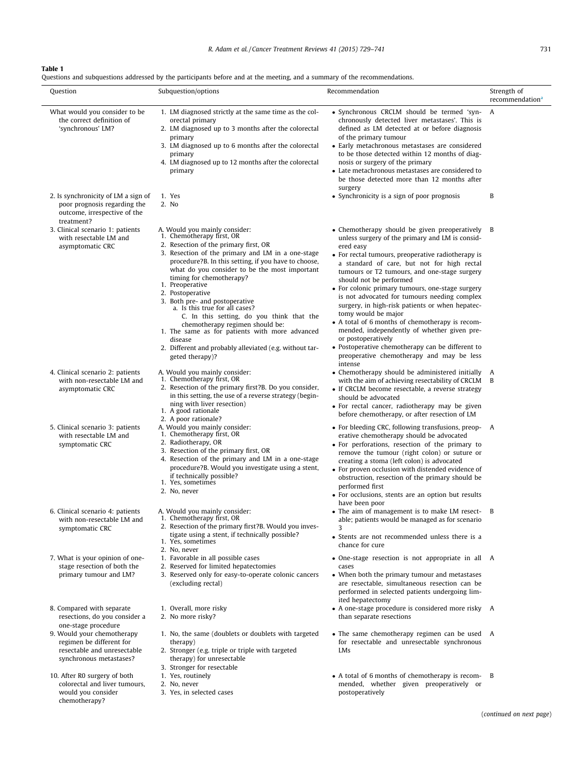# <span id="page-2-0"></span>Table 1

Questions and subquestions addressed by the participants before and at the meeting, and a summary of the recommendations.

| Question                                                                                                          | Subquestion/options                                                                                                                                                                                                                                                                                                                                                                                                                                                                                                                                                                                                                 | Recommendation                                                                                                                                                                                                                                                                                                                                                                                                                                                                                                                                                                                                                                                                                         | Strength of<br>recommendation <sup>a</sup> |
|-------------------------------------------------------------------------------------------------------------------|-------------------------------------------------------------------------------------------------------------------------------------------------------------------------------------------------------------------------------------------------------------------------------------------------------------------------------------------------------------------------------------------------------------------------------------------------------------------------------------------------------------------------------------------------------------------------------------------------------------------------------------|--------------------------------------------------------------------------------------------------------------------------------------------------------------------------------------------------------------------------------------------------------------------------------------------------------------------------------------------------------------------------------------------------------------------------------------------------------------------------------------------------------------------------------------------------------------------------------------------------------------------------------------------------------------------------------------------------------|--------------------------------------------|
| What would you consider to be<br>the correct definition of<br>'synchronous' LM?                                   | 1. LM diagnosed strictly at the same time as the col-<br>orectal primary<br>2. LM diagnosed up to 3 months after the colorectal<br>primary<br>3. LM diagnosed up to 6 months after the colorectal<br>primary<br>4. LM diagnosed up to 12 months after the colorectal<br>primary                                                                                                                                                                                                                                                                                                                                                     | • Synchronous CRCLM should be termed 'syn-<br>chronously detected liver metastases'. This is<br>defined as LM detected at or before diagnosis<br>of the primary tumour<br>• Early metachronous metastases are considered<br>to be those detected within 12 months of diag-<br>nosis or surgery of the primary<br>• Late metachronous metastases are considered to<br>be those detected more than 12 months after<br>surgery                                                                                                                                                                                                                                                                            | A                                          |
| 2. Is synchronicity of LM a sign of<br>poor prognosis regarding the<br>outcome, irrespective of the<br>treatment? | 1. Yes<br>2. No                                                                                                                                                                                                                                                                                                                                                                                                                                                                                                                                                                                                                     | • Synchronicity is a sign of poor prognosis                                                                                                                                                                                                                                                                                                                                                                                                                                                                                                                                                                                                                                                            | B                                          |
| 3. Clinical scenario 1: patients<br>with resectable LM and<br>asymptomatic CRC                                    | A. Would you mainly consider:<br>1. Chemotherapy first, OR<br>2. Resection of the primary first, OR<br>3. Resection of the primary and LM in a one-stage<br>procedure?B. In this setting, if you have to choose,<br>what do you consider to be the most important<br>timing for chemotherapy?<br>1. Preoperative<br>2. Postoperative<br>3. Both pre- and postoperative<br>a. Is this true for all cases?<br>C. In this setting, do you think that the<br>chemotherapy regimen should be:<br>1. The same as for patients with more advanced<br>disease<br>2. Different and probably alleviated (e.g. without tar-<br>geted therapy)? | • Chemotherapy should be given preoperatively B<br>unless surgery of the primary and LM is consid-<br>ered easy<br>• For rectal tumours, preoperative radiotherapy is<br>a standard of care, but not for high rectal<br>tumours or T2 tumours, and one-stage surgery<br>should not be performed<br>• For colonic primary tumours, one-stage surgery<br>is not advocated for tumours needing complex<br>surgery, in high-risk patients or when hepatec-<br>tomy would be major<br>• A total of 6 months of chemotherapy is recom-<br>mended, independently of whether given pre-<br>or postoperatively<br>• Postoperative chemotherapy can be different to<br>preoperative chemotherapy and may be less |                                            |
| 4. Clinical scenario 2: patients<br>with non-resectable LM and<br>asymptomatic CRC                                | A. Would you mainly consider:<br>1. Chemotherapy first, OR<br>2. Resection of the primary first?B. Do you consider,<br>in this setting, the use of a reverse strategy (begin-<br>ning with liver resection)<br>1. A good rationale<br>2. A poor rationale?                                                                                                                                                                                                                                                                                                                                                                          | intense<br>• Chemotherapy should be administered initially A<br>with the aim of achieving resectability of CRCLM B<br>• If CRCLM become resectable, a reverse strategy<br>should be advocated<br>• For rectal cancer, radiotherapy may be given<br>before chemotherapy, or after resection of LM                                                                                                                                                                                                                                                                                                                                                                                                       |                                            |
| 5. Clinical scenario 3: patients<br>with resectable LM and<br>symptomatic CRC                                     | A. Would you mainly consider:<br>1. Chemotherapy first, OR<br>2. Radiotherapy, OR<br>3. Resection of the primary first, OR<br>4. Resection of the primary and LM in a one-stage<br>procedure?B. Would you investigate using a stent,<br>if technically possible?<br>1. Yes, sometimes<br>2. No, never                                                                                                                                                                                                                                                                                                                               | • For bleeding CRC, following transfusions, preop- A<br>erative chemotherapy should be advocated<br>• For perforations, resection of the primary to<br>remove the tumour (right colon) or suture or<br>creating a stoma (left colon) is advocated<br>• For proven occlusion with distended evidence of<br>obstruction, resection of the primary should be<br>performed first<br>• For occlusions, stents are an option but results<br>have been poor                                                                                                                                                                                                                                                   |                                            |
| 6. Clinical scenario 4: patients<br>with non-resectable LM and<br>symptomatic CRC                                 | A. Would you mainly consider:<br>1. Chemotherapy first, OR<br>2. Resection of the primary first?B. Would you inves-<br>tigate using a stent, if technically possible?<br>1. Yes, sometimes<br>2. No, never                                                                                                                                                                                                                                                                                                                                                                                                                          | • The aim of management is to make LM resect- B<br>able; patients would be managed as for scenario<br>• Stents are not recommended unless there is a<br>chance for cure                                                                                                                                                                                                                                                                                                                                                                                                                                                                                                                                |                                            |
| 7. What is your opinion of one-<br>stage resection of both the<br>primary tumour and LM?                          | 1. Favorable in all possible cases<br>2. Reserved for limited hepatectomies<br>3. Reserved only for easy-to-operate colonic cancers<br>(excluding rectal)                                                                                                                                                                                                                                                                                                                                                                                                                                                                           | • One-stage resection is not appropriate in all A<br>cases<br>• When both the primary tumour and metastases<br>are resectable, simultaneous resection can be<br>performed in selected patients undergoing lim-<br>ited hepatectomy                                                                                                                                                                                                                                                                                                                                                                                                                                                                     |                                            |
| 8. Compared with separate<br>resections, do you consider a<br>one-stage procedure                                 | 1. Overall, more risky<br>2. No more risky?                                                                                                                                                                                                                                                                                                                                                                                                                                                                                                                                                                                         | • A one-stage procedure is considered more risky A<br>than separate resections                                                                                                                                                                                                                                                                                                                                                                                                                                                                                                                                                                                                                         |                                            |
| 9. Would your chemotherapy<br>regimen be different for<br>resectable and unresectable<br>synchronous metastases?  | 1. No, the same (doublets or doublets with targeted<br>therapy)<br>2. Stronger (e.g. triple or triple with targeted<br>therapy) for unresectable<br>3. Stronger for resectable                                                                                                                                                                                                                                                                                                                                                                                                                                                      | • The same chemotherapy regimen can be used A<br>for resectable and unresectable synchronous<br>LMs                                                                                                                                                                                                                                                                                                                                                                                                                                                                                                                                                                                                    |                                            |
| 10. After R0 surgery of both<br>colorectal and liver tumours,<br>would you consider<br>chemotherapy?              | 1. Yes, routinely<br>2. No, never<br>3. Yes, in selected cases                                                                                                                                                                                                                                                                                                                                                                                                                                                                                                                                                                      | • A total of 6 months of chemotherapy is recom- B<br>mended, whether given preoperatively or<br>postoperatively                                                                                                                                                                                                                                                                                                                                                                                                                                                                                                                                                                                        |                                            |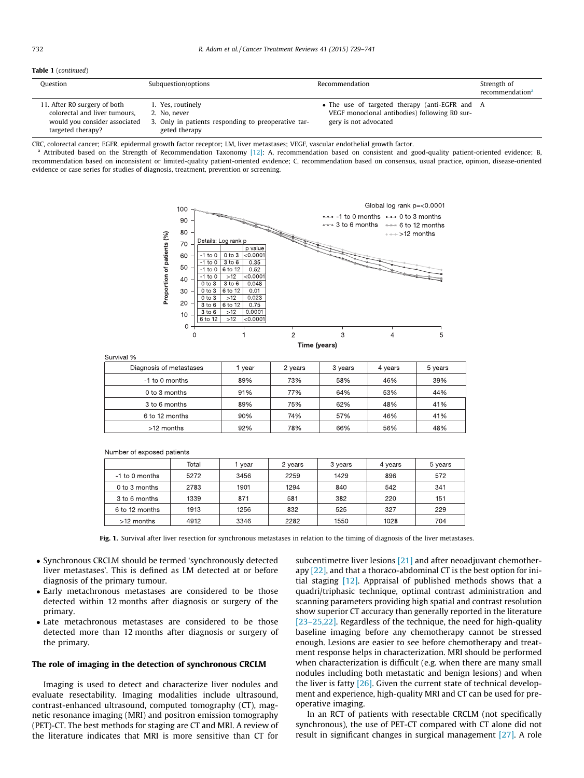#### <span id="page-3-0"></span>Table 1 (continued)

| Question                                                                                                            | Subquestion/options                                                                                       | Recommendation                                                                                                           | Strength of<br>recommendation <sup>a</sup> |
|---------------------------------------------------------------------------------------------------------------------|-----------------------------------------------------------------------------------------------------------|--------------------------------------------------------------------------------------------------------------------------|--------------------------------------------|
| 11. After R0 surgery of both<br>colorectal and liver tumours,<br>would you consider associated<br>targeted therapy? | 1. Yes, routinely<br>2. No. never<br>3. Only in patients responding to preoperative tar-<br>geted therapy | • The use of targeted therapy (anti-EGFR and A<br>VEGF monoclonal antibodies) following R0 sur-<br>gery is not advocated |                                            |

CRC, colorectal cancer; EGFR, epidermal growth factor receptor; LM, liver metastases; VEGF, vascular endothelial growth factor.

<sup>a</sup> Attributed based on the Strength of Recommendation Taxonomy [\[12\]:](#page-10-0) A, recommendation based on consistent and good-quality patient-oriented evidence; B, recommendation based on inconsistent or limited-quality patient-oriented evidence; C, recommendation based on consensus, usual practice, opinion, disease-oriented evidence or case series for studies of diagnosis, treatment, prevention or screening.



Survival %

| Diagnosis of metastases | vear | 2 years | 3 years | 4 years | 5 years |
|-------------------------|------|---------|---------|---------|---------|
| -1 to 0 months          | 89%  | 73%     | 58%     | 46%     | 39%     |
| 0 to 3 months           | 91%  | 77%     | 64%     | 53%     | 44%     |
| 3 to 6 months           | 89%  | 75%     | 62%     | 48%     | 41%     |
| 6 to 12 months          | 90%  | 74%     | 57%     | 46%     | 41%     |
| >12 months              | 92%  | 78%     | 66%     | 56%     | 48%     |

|  | <b>INUITIDEL OF EXPOSED DATIELITS</b> |       |      |         |         |         |         |
|--|---------------------------------------|-------|------|---------|---------|---------|---------|
|  |                                       | Total | vear | 2 years | 3 years | 4 years | 5 years |
|  | -1 to 0 months                        | 5272  | 3456 | 2259    | 1429    | 896     | 572     |
|  | 0 to 3 months                         | 2783  | 1901 | 1294    | 840     | 542     | 341     |
|  | 3 to 6 months                         | 1339  | 871  | 581     | 382     | 220     | 151     |
|  | 6 to 12 months                        | 1913  | 1256 | 832     | 525     | 327     | 229     |

3346

shor of ovnoood potionts

>12 months

Fig. 1. Survival after liver resection for synchronous metastases in relation to the timing of diagnosis of the liver metastases.

2282

1550

1028

- Synchronous CRCLM should be termed 'synchronously detected liver metastases'. This is defined as LM detected at or before diagnosis of the primary tumour.

4912

- Early metachronous metastases are considered to be those detected within 12 months after diagnosis or surgery of the primary.
- Late metachronous metastases are considered to be those detected more than 12 months after diagnosis or surgery of the primary.

#### The role of imaging in the detection of synchronous CRCLM

Imaging is used to detect and characterize liver nodules and evaluate resectability. Imaging modalities include ultrasound, contrast-enhanced ultrasound, computed tomography (CT), magnetic resonance imaging (MRI) and positron emission tomography (PET)-CT. The best methods for staging are CT and MRI. A review of the literature indicates that MRI is more sensitive than CT for subcentimetre liver lesions [\[21\]](#page-11-0) and after neoadjuvant chemotherapy [\[22\],](#page-11-0) and that a thoraco-abdominal CT is the best option for initial staging [\[12\]](#page-10-0). Appraisal of published methods shows that a quadri/triphasic technique, optimal contrast administration and scanning parameters providing high spatial and contrast resolution show superior CT accuracy than generally reported in the literature [23-25,22]. Regardless of the technique, the need for high-quality baseline imaging before any chemotherapy cannot be stressed enough. Lesions are easier to see before chemotherapy and treatment response helps in characterization. MRI should be performed when characterization is difficult (e.g. when there are many small nodules including both metastatic and benign lesions) and when the liver is fatty [\[26\].](#page-11-0) Given the current state of technical development and experience, high-quality MRI and CT can be used for preoperative imaging.

704

In an RCT of patients with resectable CRCLM (not specifically synchronous), the use of PET-CT compared with CT alone did not result in significant changes in surgical management [\[27\]](#page-11-0). A role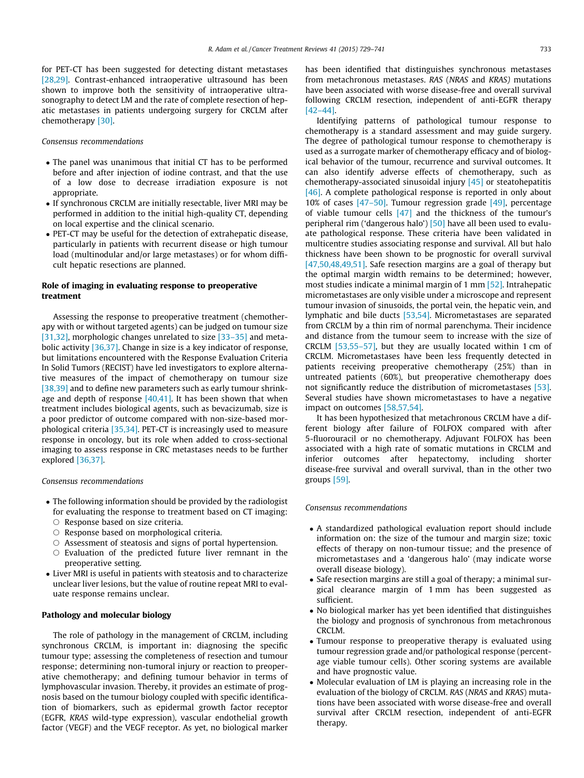for PET-CT has been suggested for detecting distant metastases [\[28,29\]](#page-11-0). Contrast-enhanced intraoperative ultrasound has been shown to improve both the sensitivity of intraoperative ultrasonography to detect LM and the rate of complete resection of hepatic metastases in patients undergoing surgery for CRCLM after chemotherapy [\[30\]](#page-11-0).

#### Consensus recommendations

- The panel was unanimous that initial CT has to be performed before and after injection of iodine contrast, and that the use of a low dose to decrease irradiation exposure is not appropriate.
- If synchronous CRCLM are initially resectable, liver MRI may be performed in addition to the initial high-quality CT, depending on local expertise and the clinical scenario.
- PET-CT may be useful for the detection of extrahepatic disease, particularly in patients with recurrent disease or high tumour load (multinodular and/or large metastases) or for whom difficult hepatic resections are planned.

## Role of imaging in evaluating response to preoperative treatment

Assessing the response to preoperative treatment (chemotherapy with or without targeted agents) can be judged on tumour size [\[31,32\]](#page-11-0), morphologic changes unrelated to size [\[33–35\]](#page-11-0) and metabolic activity [\[36,37\].](#page-11-0) Change in size is a key indicator of response, but limitations encountered with the Response Evaluation Criteria In Solid Tumors (RECIST) have led investigators to explore alternative measures of the impact of chemotherapy on tumour size [\[38,39\]](#page-11-0) and to define new parameters such as early tumour shrinkage and depth of response  $[40,41]$ . It has been shown that when treatment includes biological agents, such as bevacizumab, size is a poor predictor of outcome compared with non-size-based morphological criteria [\[35,34\]](#page-11-0). PET-CT is increasingly used to measure response in oncology, but its role when added to cross-sectional imaging to assess response in CRC metastases needs to be further explored [\[36,37\]](#page-11-0).

#### Consensus recommendations

- The following information should be provided by the radiologist for evaluating the response to treatment based on CT imaging:
	- $\circ$  Response based on size criteria.
	- $\circ$  Response based on morphological criteria.
- $\circ$  Assessment of steatosis and signs of portal hypertension.
- $\circ$  Evaluation of the predicted future liver remnant in the preoperative setting.
- Liver MRI is useful in patients with steatosis and to characterize unclear liver lesions, but the value of routine repeat MRI to evaluate response remains unclear.

#### Pathology and molecular biology

The role of pathology in the management of CRCLM, including synchronous CRCLM, is important in: diagnosing the specific tumour type; assessing the completeness of resection and tumour response; determining non-tumoral injury or reaction to preoperative chemotherapy; and defining tumour behavior in terms of lymphovascular invasion. Thereby, it provides an estimate of prognosis based on the tumour biology coupled with specific identification of biomarkers, such as epidermal growth factor receptor (EGFR, KRAS wild-type expression), vascular endothelial growth factor (VEGF) and the VEGF receptor. As yet, no biological marker

has been identified that distinguishes synchronous metastases from metachronous metastases. RAS (NRAS and KRAS) mutations have been associated with worse disease-free and overall survival following CRCLM resection, independent of anti-EGFR therapy [\[42–44\]](#page-11-0).

Identifying patterns of pathological tumour response to chemotherapy is a standard assessment and may guide surgery. The degree of pathological tumour response to chemotherapy is used as a surrogate marker of chemotherapy efficacy and of biological behavior of the tumour, recurrence and survival outcomes. It can also identify adverse effects of chemotherapy, such as chemotherapy-associated sinusoidal injury [\[45\]](#page-11-0) or steatohepatitis [\[46\]](#page-11-0). A complete pathological response is reported in only about 10% of cases [\[47–50\].](#page-11-0) Tumour regression grade [\[49\],](#page-11-0) percentage of viable tumour cells [\[47\]](#page-11-0) and the thickness of the tumour's peripheral rim ('dangerous halo') [\[50\]](#page-11-0) have all been used to evaluate pathological response. These criteria have been validated in multicentre studies associating response and survival. All but halo thickness have been shown to be prognostic for overall survival [\[47,50,48,49,51\].](#page-11-0) Safe resection margins are a goal of therapy but the optimal margin width remains to be determined; however, most studies indicate a minimal margin of 1 mm [\[52\].](#page-11-0) Intrahepatic micrometastases are only visible under a microscope and represent tumour invasion of sinusoids, the portal vein, the hepatic vein, and lymphatic and bile ducts [\[53,54\]](#page-11-0). Micrometastases are separated from CRCLM by a thin rim of normal parenchyma. Their incidence and distance from the tumour seem to increase with the size of CRCLM [\[53,55–57\]](#page-11-0), but they are usually located within 1 cm of CRCLM. Micrometastases have been less frequently detected in patients receiving preoperative chemotherapy (25%) than in untreated patients (60%), but preoperative chemotherapy does not significantly reduce the distribution of micrometastases [\[53\].](#page-11-0) Several studies have shown micrometastases to have a negative impact on outcomes [\[58,57,54\]](#page-11-0).

It has been hypothesized that metachronous CRCLM have a different biology after failure of FOLFOX compared with after 5-fluorouracil or no chemotherapy. Adjuvant FOLFOX has been associated with a high rate of somatic mutations in CRCLM and inferior outcomes after hepatectomy, including shorter disease-free survival and overall survival, than in the other two groups [\[59\]](#page-11-0).

#### Consensus recommendations

- A standardized pathological evaluation report should include information on: the size of the tumour and margin size; toxic effects of therapy on non-tumour tissue; and the presence of micrometastases and a 'dangerous halo' (may indicate worse overall disease biology).
- Safe resection margins are still a goal of therapy; a minimal surgical clearance margin of 1 mm has been suggested as sufficient.
- No biological marker has yet been identified that distinguishes the biology and prognosis of synchronous from metachronous CRCLM.
- Tumour response to preoperative therapy is evaluated using tumour regression grade and/or pathological response (percentage viable tumour cells). Other scoring systems are available and have prognostic value.
- Molecular evaluation of LM is playing an increasing role in the evaluation of the biology of CRCLM. RAS (NRAS and KRAS) mutations have been associated with worse disease-free and overall survival after CRCLM resection, independent of anti-EGFR therapy.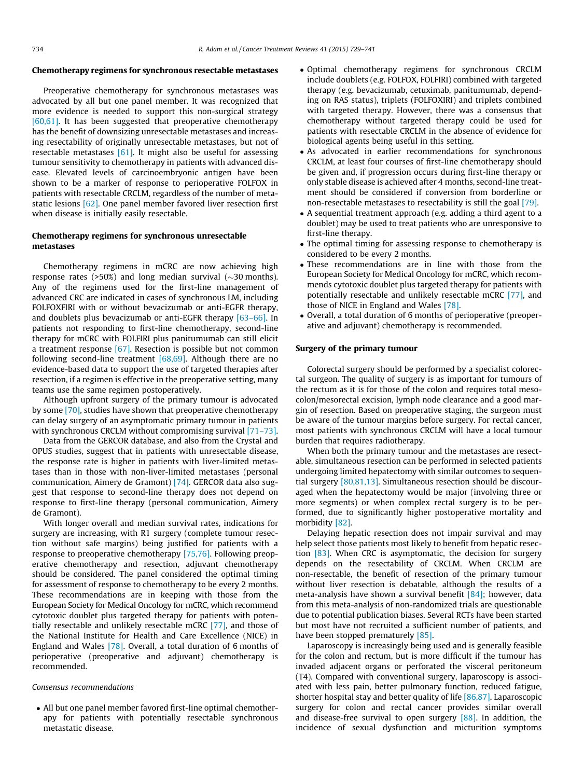# Chemotherapy regimens for synchronous resectable metastases

Preoperative chemotherapy for synchronous metastases was advocated by all but one panel member. It was recognized that more evidence is needed to support this non-surgical strategy [\[60,61\].](#page-11-0) It has been suggested that preoperative chemotherapy has the benefit of downsizing unresectable metastases and increasing resectability of originally unresectable metastases, but not of resectable metastases  $[61]$ . It might also be useful for assessing tumour sensitivity to chemotherapy in patients with advanced disease. Elevated levels of carcinoembryonic antigen have been shown to be a marker of response to perioperative FOLFOX in patients with resectable CRCLM, regardless of the number of metastatic lesions [\[62\]](#page-11-0). One panel member favored liver resection first when disease is initially easily resectable.

## Chemotherapy regimens for synchronous unresectable metastases

Chemotherapy regimens in mCRC are now achieving high response rates (>50%) and long median survival ( $\sim$ 30 months). Any of the regimens used for the first-line management of advanced CRC are indicated in cases of synchronous LM, including FOLFOXFIRI with or without bevacizumab or anti-EGFR therapy, and doublets plus bevacizumab or anti-EGFR therapy [\[63–66\]](#page-11-0). In patients not responding to first-line chemotherapy, second-line therapy for mCRC with FOLFIRI plus panitumumab can still elicit a treatment response [\[67\].](#page-12-0) Resection is possible but not common following second-line treatment [\[68,69\]](#page-12-0). Although there are no evidence-based data to support the use of targeted therapies after resection, if a regimen is effective in the preoperative setting, many teams use the same regimen postoperatively.

Although upfront surgery of the primary tumour is advocated by some [\[70\],](#page-12-0) studies have shown that preoperative chemotherapy can delay surgery of an asymptomatic primary tumour in patients with synchronous CRCLM without compromising survival [\[71–73\].](#page-12-0)

Data from the GERCOR database, and also from the Crystal and OPUS studies, suggest that in patients with unresectable disease, the response rate is higher in patients with liver-limited metastases than in those with non-liver-limited metastases (personal communication, Aimery de Gramont) [\[74\].](#page-12-0) GERCOR data also suggest that response to second-line therapy does not depend on response to first-line therapy (personal communication, Aimery de Gramont).

With longer overall and median survival rates, indications for surgery are increasing, with R1 surgery (complete tumour resection without safe margins) being justified for patients with a response to preoperative chemotherapy [\[75,76\]](#page-12-0). Following preoperative chemotherapy and resection, adjuvant chemotherapy should be considered. The panel considered the optimal timing for assessment of response to chemotherapy to be every 2 months. These recommendations are in keeping with those from the European Society for Medical Oncology for mCRC, which recommend cytotoxic doublet plus targeted therapy for patients with potentially resectable and unlikely resectable mCRC [\[77\]](#page-12-0), and those of the National Institute for Health and Care Excellence (NICE) in England and Wales [\[78\].](#page-12-0) Overall, a total duration of 6 months of perioperative (preoperative and adjuvant) chemotherapy is recommended.

#### Consensus recommendations

- All but one panel member favored first-line optimal chemotherapy for patients with potentially resectable synchronous metastatic disease.

- Optimal chemotherapy regimens for synchronous CRCLM include doublets (e.g. FOLFOX, FOLFIRI) combined with targeted therapy (e.g. bevacizumab, cetuximab, panitumumab, depending on RAS status), triplets (FOLFOXIRI) and triplets combined with targeted therapy. However, there was a consensus that chemotherapy without targeted therapy could be used for patients with resectable CRCLM in the absence of evidence for biological agents being useful in this setting.
- As advocated in earlier recommendations for synchronous CRCLM, at least four courses of first-line chemotherapy should be given and, if progression occurs during first-line therapy or only stable disease is achieved after 4 months, second-line treatment should be considered if conversion from borderline or non-resectable metastases to resectability is still the goal [\[79\].](#page-12-0)
- A sequential treatment approach (e.g. adding a third agent to a doublet) may be used to treat patients who are unresponsive to first-line therapy.
- The optimal timing for assessing response to chemotherapy is considered to be every 2 months.
- These recommendations are in line with those from the European Society for Medical Oncology for mCRC, which recommends cytotoxic doublet plus targeted therapy for patients with potentially resectable and unlikely resectable mCRC [\[77\]](#page-12-0), and those of NICE in England and Wales [\[78\]](#page-12-0).
- Overall, a total duration of 6 months of perioperative (preoperative and adjuvant) chemotherapy is recommended.

#### Surgery of the primary tumour

Colorectal surgery should be performed by a specialist colorectal surgeon. The quality of surgery is as important for tumours of the rectum as it is for those of the colon and requires total mesocolon/mesorectal excision, lymph node clearance and a good margin of resection. Based on preoperative staging, the surgeon must be aware of the tumour margins before surgery. For rectal cancer, most patients with synchronous CRCLM will have a local tumour burden that requires radiotherapy.

When both the primary tumour and the metastases are resectable, simultaneous resection can be performed in selected patients undergoing limited hepatectomy with similar outcomes to sequential surgery [\[80,81,13\].](#page-12-0) Simultaneous resection should be discouraged when the hepatectomy would be major (involving three or more segments) or when complex rectal surgery is to be performed, due to significantly higher postoperative mortality and morbidity [\[82\]](#page-12-0).

Delaying hepatic resection does not impair survival and may help select those patients most likely to benefit from hepatic resection [\[83\]](#page-12-0). When CRC is asymptomatic, the decision for surgery depends on the resectability of CRCLM. When CRCLM are non-resectable, the benefit of resection of the primary tumour without liver resection is debatable, although the results of a meta-analysis have shown a survival benefit [\[84\]](#page-12-0); however, data from this meta-analysis of non-randomized trials are questionable due to potential publication biases. Several RCTs have been started but most have not recruited a sufficient number of patients, and have been stopped prematurely [\[85\].](#page-12-0)

Laparoscopy is increasingly being used and is generally feasible for the colon and rectum, but is more difficult if the tumour has invaded adjacent organs or perforated the visceral peritoneum (T4). Compared with conventional surgery, laparoscopy is associated with less pain, better pulmonary function, reduced fatigue, shorter hospital stay and better quality of life [\[86,87\]](#page-12-0). Laparoscopic surgery for colon and rectal cancer provides similar overall and disease-free survival to open surgery [\[88\].](#page-12-0) In addition, the incidence of sexual dysfunction and micturition symptoms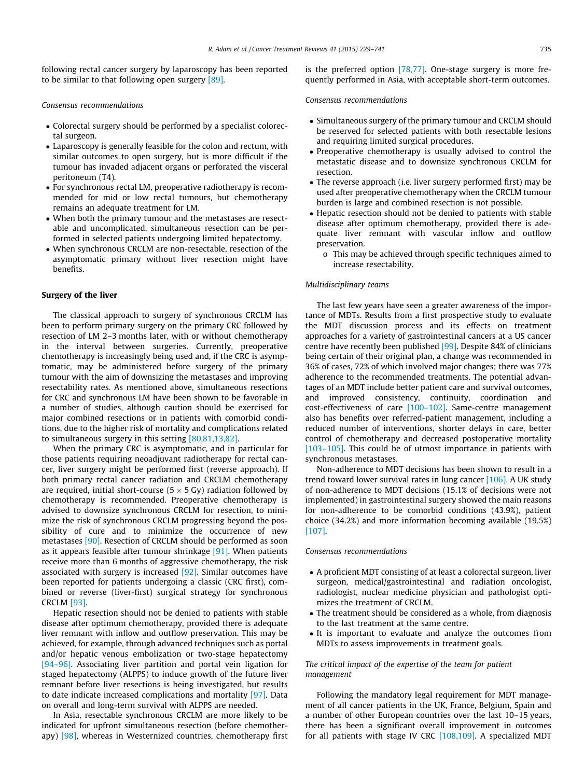following rectal cancer surgery by laparoscopy has been reported to be similar to that following open surgery [\[89\].](#page-12-0)

#### Consensus recommendations

- Colorectal surgery should be performed by a specialist colorectal surgeon.
- Laparoscopy is generally feasible for the colon and rectum, with similar outcomes to open surgery, but is more difficult if the tumour has invaded adjacent organs or perforated the visceral peritoneum (T4).
- For synchronous rectal LM, preoperative radiotherapy is recommended for mid or low rectal tumours, but chemotherapy remains an adequate treatment for LM.
- When both the primary tumour and the metastases are resectable and uncomplicated, simultaneous resection can be performed in selected patients undergoing limited hepatectomy.
- When synchronous CRCLM are non-resectable, resection of the asymptomatic primary without liver resection might have benefits.

#### Surgery of the liver

The classical approach to surgery of synchronous CRCLM has been to perform primary surgery on the primary CRC followed by resection of LM 2–3 months later, with or without chemotherapy in the interval between surgeries. Currently, preoperative chemotherapy is increasingly being used and, if the CRC is asymptomatic, may be administered before surgery of the primary tumour with the aim of downsizing the metastases and improving resectability rates. As mentioned above, simultaneous resections for CRC and synchronous LM have been shown to be favorable in a number of studies, although caution should be exercised for major combined resections or in patients with comorbid conditions, due to the higher risk of mortality and complications related to simultaneous surgery in this setting [\[80,81,13,82\]](#page-12-0).

When the primary CRC is asymptomatic, and in particular for those patients requiring neoadjuvant radiotherapy for rectal cancer, liver surgery might be performed first (reverse approach). If both primary rectal cancer radiation and CRCLM chemotherapy are required, initial short-course ( $5 \times 5$  Gy) radiation followed by chemotherapy is recommended. Preoperative chemotherapy is advised to downsize synchronous CRCLM for resection, to minimize the risk of synchronous CRCLM progressing beyond the possibility of cure and to minimize the occurrence of new metastases [\[90\]](#page-12-0). Resection of CRCLM should be performed as soon as it appears feasible after tumour shrinkage [\[91\].](#page-12-0) When patients receive more than 6 months of aggressive chemotherapy, the risk associated with surgery is increased [\[92\].](#page-12-0) Similar outcomes have been reported for patients undergoing a classic (CRC first), combined or reverse (liver-first) surgical strategy for synchronous CRCLM [\[93\]](#page-12-0).

Hepatic resection should not be denied to patients with stable disease after optimum chemotherapy, provided there is adequate liver remnant with inflow and outflow preservation. This may be achieved, for example, through advanced techniques such as portal and/or hepatic venous embolization or two-stage hepatectomy [\[94–96\]](#page-12-0). Associating liver partition and portal vein ligation for staged hepatectomy (ALPPS) to induce growth of the future liver remnant before liver resections is being investigated, but results to date indicate increased complications and mortality [\[97\]](#page-12-0). Data on overall and long-term survival with ALPPS are needed.

In Asia, resectable synchronous CRCLM are more likely to be indicated for upfront simultaneous resection (before chemotherapy)  $[98]$ , whereas in Westernized countries, chemotherapy first is the preferred option [\[78,77\]](#page-12-0). One-stage surgery is more frequently performed in Asia, with acceptable short-term outcomes.

#### Consensus recommendations

- Simultaneous surgery of the primary tumour and CRCLM should be reserved for selected patients with both resectable lesions and requiring limited surgical procedures.
- Preoperative chemotherapy is usually advised to control the metastatic disease and to downsize synchronous CRCLM for resection.
- The reverse approach (i.e. liver surgery performed first) may be used after preoperative chemotherapy when the CRCLM tumour burden is large and combined resection is not possible.
- Hepatic resection should not be denied to patients with stable disease after optimum chemotherapy, provided there is adequate liver remnant with vascular inflow and outflow preservation.
	- o This may be achieved through specific techniques aimed to increase resectability.

#### Multidisciplinary teams

The last few years have seen a greater awareness of the importance of MDTs. Results from a first prospective study to evaluate the MDT discussion process and its effects on treatment approaches for a variety of gastrointestinal cancers at a US cancer centre have recently been published [\[99\].](#page-12-0) Despite 84% of clinicians being certain of their original plan, a change was recommended in 36% of cases, 72% of which involved major changes; there was 77% adherence to the recommended treatments. The potential advantages of an MDT include better patient care and survival outcomes, and improved consistency, continuity, coordination and cost-effectiveness of care [\[100–102\].](#page-12-0) Same-centre management also has benefits over referred-patient management, including a reduced number of interventions, shorter delays in care, better control of chemotherapy and decreased postoperative mortality [\[103–105\].](#page-12-0) This could be of utmost importance in patients with synchronous metastases.

Non-adherence to MDT decisions has been shown to result in a trend toward lower survival rates in lung cancer [\[106\]](#page-12-0). A UK study of non-adherence to MDT decisions (15.1% of decisions were not implemented) in gastrointestinal surgery showed the main reasons for non-adherence to be comorbid conditions (43.9%), patient choice (34.2%) and more information becoming available (19.5%) [\[107\].](#page-12-0)

#### Consensus recommendations

- A proficient MDT consisting of at least a colorectal surgeon, liver surgeon, medical/gastrointestinal and radiation oncologist, radiologist, nuclear medicine physician and pathologist optimizes the treatment of CRCLM.
- The treatment should be considered as a whole, from diagnosis to the last treatment at the same centre.
- It is important to evaluate and analyze the outcomes from MDTs to assess improvements in treatment goals.

#### The critical impact of the expertise of the team for patient management

Following the mandatory legal requirement for MDT management of all cancer patients in the UK, France, Belgium, Spain and a number of other European countries over the last 10–15 years, there has been a significant overall improvement in outcomes for all patients with stage IV CRC [\[108,109\]](#page-12-0). A specialized MDT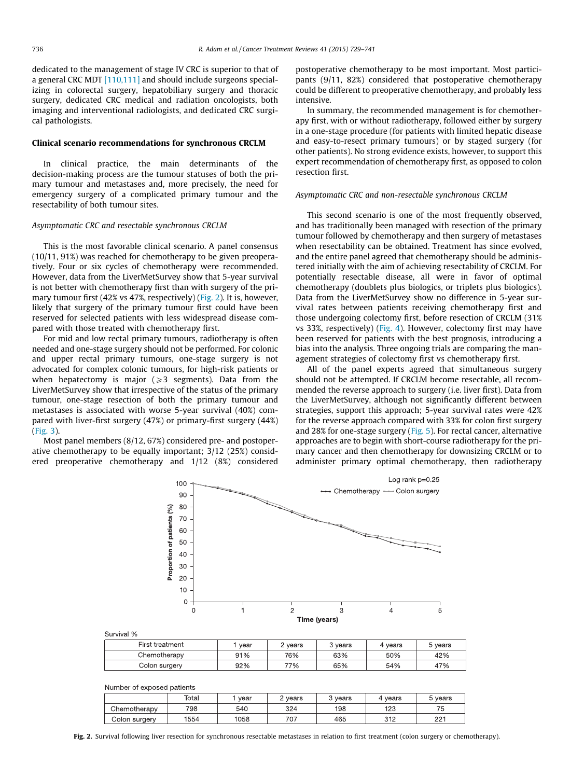dedicated to the management of stage IV CRC is superior to that of a general CRC MDT [\[110,111\]](#page-12-0) and should include surgeons specializing in colorectal surgery, hepatobiliary surgery and thoracic surgery, dedicated CRC medical and radiation oncologists, both imaging and interventional radiologists, and dedicated CRC surgical pathologists.

#### Clinical scenario recommendations for synchronous CRCLM

In clinical practice, the main determinants of the decision-making process are the tumour statuses of both the primary tumour and metastases and, more precisely, the need for emergency surgery of a complicated primary tumour and the resectability of both tumour sites.

#### Asymptomatic CRC and resectable synchronous CRCLM

This is the most favorable clinical scenario. A panel consensus (10/11, 91%) was reached for chemotherapy to be given preoperatively. Four or six cycles of chemotherapy were recommended. However, data from the LiverMetSurvey show that 5-year survival is not better with chemotherapy first than with surgery of the primary tumour first (42% vs 47%, respectively) (Fig. 2). It is, however, likely that surgery of the primary tumour first could have been reserved for selected patients with less widespread disease compared with those treated with chemotherapy first.

For mid and low rectal primary tumours, radiotherapy is often needed and one-stage surgery should not be performed. For colonic and upper rectal primary tumours, one-stage surgery is not advocated for complex colonic tumours, for high-risk patients or when hepatectomy is major  $(\geq 3$  segments). Data from the LiverMetSurvey show that irrespective of the status of the primary tumour, one-stage resection of both the primary tumour and metastases is associated with worse 5-year survival (40%) compared with liver-first surgery (47%) or primary-first surgery (44%) ([Fig. 3](#page-8-0)).

Most panel members (8/12, 67%) considered pre- and postoperative chemotherapy to be equally important; 3/12 (25%) considered preoperative chemotherapy and 1/12 (8%) considered postoperative chemotherapy to be most important. Most participants (9/11, 82%) considered that postoperative chemotherapy could be different to preoperative chemotherapy, and probably less intensive.

In summary, the recommended management is for chemotherapy first, with or without radiotherapy, followed either by surgery in a one-stage procedure (for patients with limited hepatic disease and easy-to-resect primary tumours) or by staged surgery (for other patients). No strong evidence exists, however, to support this expert recommendation of chemotherapy first, as opposed to colon resection first.

#### Asymptomatic CRC and non-resectable synchronous CRCLM

This second scenario is one of the most frequently observed, and has traditionally been managed with resection of the primary tumour followed by chemotherapy and then surgery of metastases when resectability can be obtained. Treatment has since evolved, and the entire panel agreed that chemotherapy should be administered initially with the aim of achieving resectability of CRCLM. For potentially resectable disease, all were in favor of optimal chemotherapy (doublets plus biologics, or triplets plus biologics). Data from the LiverMetSurvey show no difference in 5-year survival rates between patients receiving chemotherapy first and those undergoing colectomy first, before resection of CRCLM (31% vs 33%, respectively) [\(Fig. 4](#page-8-0)). However, colectomy first may have been reserved for patients with the best prognosis, introducing a bias into the analysis. Three ongoing trials are comparing the management strategies of colectomy first vs chemotherapy first.

All of the panel experts agreed that simultaneous surgery should not be attempted. If CRCLM become resectable, all recommended the reverse approach to surgery (i.e. liver first). Data from the LiverMetSurvey, although not significantly different between strategies, support this approach; 5-year survival rates were 42% for the reverse approach compared with 33% for colon first surgery and 28% for one-stage surgery [\(Fig. 5](#page-9-0)). For rectal cancer, alternative approaches are to begin with short-course radiotherapy for the primary cancer and then chemotherapy for downsizing CRCLM or to administer primary optimal chemotherapy, then radiotherapy



| Survival % |
|------------|
|------------|

| First treatment | year | ∠ years | 3 years | vears | 5 years |
|-----------------|------|---------|---------|-------|---------|
| Chemotherapv    | 91%  | 76%     | 63%     | 50%   | 42%     |
| Colon surgery   | 92%  | 77%     | 65%     | 54%   | 47%     |

|  |  | Number of exposed patients |  |
|--|--|----------------------------|--|
|--|--|----------------------------|--|

|               | Total | vear | vears | vears | 4 years    | 5 years  |
|---------------|-------|------|-------|-------|------------|----------|
| Chemotherapy  | 798   | 540  | 324   | 198   | 123        | 75       |
| Colon surgery | 1554  | 1058 | 707   | 465   | 210<br>◡੶▵ | つつ1<br>ᅩ |

Fig. 2. Survival following liver resection for synchronous resectable metastases in relation to first treatment (colon surgery or chemotherapy).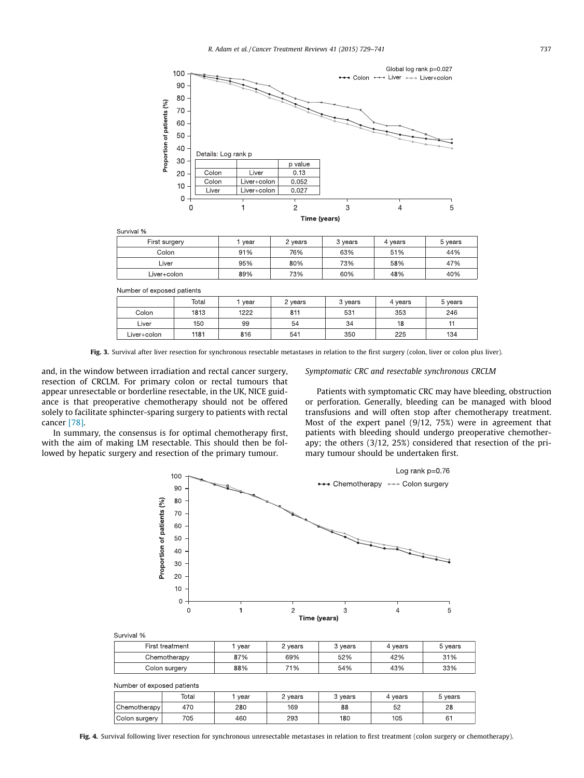<span id="page-8-0"></span>

Survival %

| First surgery | vear | 2 years | 3 years | 4 vears | 5 years |
|---------------|------|---------|---------|---------|---------|
| Colon         | 91%  | 76%     | 63%     | 51%     | 44%     |
| Liver         | 95%  | 80%     | 73%     | 58%     | 47%     |
| Liver+colon   | 89%  | 73%     | 60%     | 48%     | 40%     |

Number of exposed patients

|             | Total | vear | 2 years | 3 years | 4 years | 5 years |
|-------------|-------|------|---------|---------|---------|---------|
| Colon       | 1813  | 1222 | 811     | 531     | 353     | 246     |
| Liver       | 150   | 99   | 54      | 34      | 18      |         |
| Liver+colon | 1181  | 816  | 541     | 350     | 225     | 134     |

Fig. 3. Survival after liver resection for synchronous resectable metastases in relation to the first surgery (colon, liver or colon plus liver).

and, in the window between irradiation and rectal cancer surgery, resection of CRCLM. For primary colon or rectal tumours that appear unresectable or borderline resectable, in the UK, NICE guidance is that preoperative chemotherapy should not be offered solely to facilitate sphincter-sparing surgery to patients with rectal cancer [\[78\]](#page-12-0).

In summary, the consensus is for optimal chemotherapy first, with the aim of making LM resectable. This should then be followed by hepatic surgery and resection of the primary tumour.

Symptomatic CRC and resectable synchronous CRCLM

Patients with symptomatic CRC may have bleeding, obstruction or perforation. Generally, bleeding can be managed with blood transfusions and will often stop after chemotherapy treatment. Most of the expert panel (9/12, 75%) were in agreement that patients with bleeding should undergo preoperative chemotherapy; the others (3/12, 25%) considered that resection of the primary tumour should be undertaken first.



Survival %

وللمستقط والمستوي والمستنق أعامل والمستعمل

| First treatment | vear | 2 years | 3 vears | 4 years | 5 years |
|-----------------|------|---------|---------|---------|---------|
| Chemotherapy    | 87%  | 69%     | 52%     | 42%     | 31%     |
| Colon surgery   | 88%  | 71%     | 54%     | 43%     | 33%     |

| <b>INDITION OF AVOIDAD DATIBLIES</b> |               |       |      |         |         |         |         |
|--------------------------------------|---------------|-------|------|---------|---------|---------|---------|
|                                      |               | Total | vear | ? years | 3 years | 4 years | 5 years |
|                                      | Chemotherapy  | 470   | 280  | 169     | 88      | 52      | 28      |
|                                      | Colon surgery | 705   | 460  | 293     | 180     | 105     | 61      |

Fig. 4. Survival following liver resection for synchronous unresectable metastases in relation to first treatment (colon surgery or chemotherapy).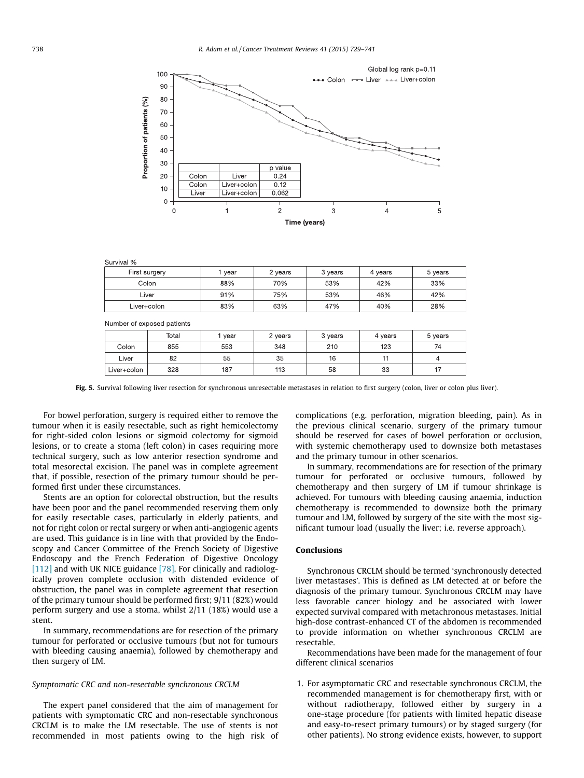<span id="page-9-0"></span>

| Survival %    |      |         |         |         |         |  |  |  |  |
|---------------|------|---------|---------|---------|---------|--|--|--|--|
| First surgery | year | 2 years | 3 years | 4 years | 5 years |  |  |  |  |
| Colon         | 88%  | 70%     | 53%     | 42%     | 33%     |  |  |  |  |
| Liver         | 91%  | 75%     | 53%     | 46%     | 42%     |  |  |  |  |
| Liver+colon   | 83%  | 63%     | 47%     | 40%     | 28%     |  |  |  |  |

|             | Number of exposed patients |      |         |         |         |         |
|-------------|----------------------------|------|---------|---------|---------|---------|
|             | Total                      | year | 2 years | 3 years | 4 years | 5 years |
| Colon       | 855                        | 553  | 348     | 210     | 123     | 74      |
| Liver       | 82                         | 55   | 35      | 16      |         |         |
| Liver+colon | 328                        | 187  | 113     | 58      | 33      |         |

Fig. 5. Survival following liver resection for synchronous unresectable metastases in relation to first surgery (colon, liver or colon plus liver).

For bowel perforation, surgery is required either to remove the tumour when it is easily resectable, such as right hemicolectomy for right-sided colon lesions or sigmoid colectomy for sigmoid lesions, or to create a stoma (left colon) in cases requiring more technical surgery, such as low anterior resection syndrome and total mesorectal excision. The panel was in complete agreement that, if possible, resection of the primary tumour should be performed first under these circumstances.

Stents are an option for colorectal obstruction, but the results have been poor and the panel recommended reserving them only for easily resectable cases, particularly in elderly patients, and not for right colon or rectal surgery or when anti-angiogenic agents are used. This guidance is in line with that provided by the Endoscopy and Cancer Committee of the French Society of Digestive Endoscopy and the French Federation of Digestive Oncology [\[112\]](#page-12-0) and with UK NICE guidance [\[78\].](#page-12-0) For clinically and radiologically proven complete occlusion with distended evidence of obstruction, the panel was in complete agreement that resection of the primary tumour should be performed first; 9/11 (82%) would perform surgery and use a stoma, whilst 2/11 (18%) would use a stent.

In summary, recommendations are for resection of the primary tumour for perforated or occlusive tumours (but not for tumours with bleeding causing anaemia), followed by chemotherapy and then surgery of LM.

#### Symptomatic CRC and non-resectable synchronous CRCLM

The expert panel considered that the aim of management for patients with symptomatic CRC and non-resectable synchronous CRCLM is to make the LM resectable. The use of stents is not recommended in most patients owing to the high risk of complications (e.g. perforation, migration bleeding, pain). As in the previous clinical scenario, surgery of the primary tumour should be reserved for cases of bowel perforation or occlusion, with systemic chemotherapy used to downsize both metastases and the primary tumour in other scenarios.

In summary, recommendations are for resection of the primary tumour for perforated or occlusive tumours, followed by chemotherapy and then surgery of LM if tumour shrinkage is achieved. For tumours with bleeding causing anaemia, induction chemotherapy is recommended to downsize both the primary tumour and LM, followed by surgery of the site with the most significant tumour load (usually the liver; i.e. reverse approach).

## Conclusions

Synchronous CRCLM should be termed 'synchronously detected liver metastases'. This is defined as LM detected at or before the diagnosis of the primary tumour. Synchronous CRCLM may have less favorable cancer biology and be associated with lower expected survival compared with metachronous metastases. Initial high-dose contrast-enhanced CT of the abdomen is recommended to provide information on whether synchronous CRCLM are resectable.

Recommendations have been made for the management of four different clinical scenarios

1. For asymptomatic CRC and resectable synchronous CRCLM, the recommended management is for chemotherapy first, with or without radiotherapy, followed either by surgery in a one-stage procedure (for patients with limited hepatic disease and easy-to-resect primary tumours) or by staged surgery (for other patients). No strong evidence exists, however, to support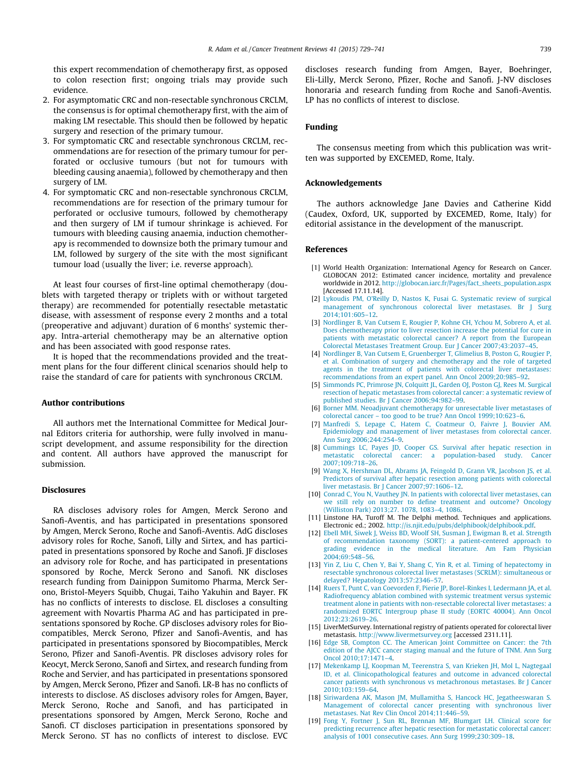<span id="page-10-0"></span>this expert recommendation of chemotherapy first, as opposed to colon resection first; ongoing trials may provide such evidence.

- 2. For asymptomatic CRC and non-resectable synchronous CRCLM, the consensus is for optimal chemotherapy first, with the aim of making LM resectable. This should then be followed by hepatic surgery and resection of the primary tumour.
- 3. For symptomatic CRC and resectable synchronous CRCLM, recommendations are for resection of the primary tumour for perforated or occlusive tumours (but not for tumours with bleeding causing anaemia), followed by chemotherapy and then surgery of LM.
- 4. For symptomatic CRC and non-resectable synchronous CRCLM, recommendations are for resection of the primary tumour for perforated or occlusive tumours, followed by chemotherapy and then surgery of LM if tumour shrinkage is achieved. For tumours with bleeding causing anaemia, induction chemotherapy is recommended to downsize both the primary tumour and LM, followed by surgery of the site with the most significant tumour load (usually the liver; i.e. reverse approach).

At least four courses of first-line optimal chemotherapy (doublets with targeted therapy or triplets with or without targeted therapy) are recommended for potentially resectable metastatic disease, with assessment of response every 2 months and a total (preoperative and adjuvant) duration of 6 months' systemic therapy. Intra-arterial chemotherapy may be an alternative option and has been associated with good response rates.

It is hoped that the recommendations provided and the treatment plans for the four different clinical scenarios should help to raise the standard of care for patients with synchronous CRCLM.

#### Author contributions

All authors met the International Committee for Medical Journal Editors criteria for authorship, were fully involved in manuscript development, and assume responsibility for the direction and content. All authors have approved the manuscript for submission.

#### Disclosures

RA discloses advisory roles for Amgen, Merck Serono and Sanofi-Aventis, and has participated in presentations sponsored by Amgen, Merck Serono, Roche and Sanofi-Aventis. AdG discloses advisory roles for Roche, Sanofi, Lilly and Sirtex, and has participated in presentations sponsored by Roche and Sanofi. JF discloses an advisory role for Roche, and has participated in presentations sponsored by Roche, Merck Serono and Sanofi. NK discloses research funding from Dainippon Sumitomo Pharma, Merck Serono, Bristol-Meyers Squibb, Chugai, Taiho Yakuhin and Bayer. FK has no conflicts of interests to disclose. EL discloses a consulting agreement with Novartis Pharma AG and has participated in presentations sponsored by Roche. GP discloses advisory roles for Biocompatibles, Merck Serono, Pfizer and Sanofi-Aventis, and has participated in presentations sponsored by Biocompatibles, Merck Serono, Pfizer and Sanofi-Aventis. PR discloses advisory roles for Keocyt, Merck Serono, Sanofi and Sirtex, and research funding from Roche and Servier, and has participated in presentations sponsored by Amgen, Merck Serono, Pfizer and Sanofi. LR-B has no conflicts of interests to disclose. AS discloses advisory roles for Amgen, Bayer, Merck Serono, Roche and Sanofi, and has participated in presentations sponsored by Amgen, Merck Serono, Roche and Sanofi. CT discloses participation in presentations sponsored by Merck Serono. ST has no conflicts of interest to disclose. EVC

discloses research funding from Amgen, Bayer, Boehringer, Eli-Lilly, Merck Serono, Pfizer, Roche and Sanofi. J-NV discloses honoraria and research funding from Roche and Sanofi-Aventis. LP has no conflicts of interest to disclose.

#### Funding

The consensus meeting from which this publication was written was supported by EXCEMED, Rome, Italy.

#### Acknowledgements

The authors acknowledge Jane Davies and Catherine Kidd (Caudex, Oxford, UK, supported by EXCEMED, Rome, Italy) for editorial assistance in the development of the manuscript.

#### References

- [1] World Health Organization: International Agency for Research on Cancer. GLOBOCAN 2012: Estimated cancer incidence, mortality and prevalence worldwide in 2012. [http://globocan.iarc.fr/Pages/fact\\_sheets\\_population.aspx](https://globocan.iarc.fr/Pages/fact_sheets_population.aspx) [Accessed 17.11.14].
- [2] [Lykoudis PM, O'Reilly D, Nastos K, Fusai G. Systematic review of surgical](https://refhub.elsevier.com/S0305-7372(15)00128-0/h0010) [management of synchronous colorectal liver metastases. Br J Surg](https://refhub.elsevier.com/S0305-7372(15)00128-0/h0010) [2014;101:605–12.](https://refhub.elsevier.com/S0305-7372(15)00128-0/h0010)
- [3] [Nordlinger B, Van Cutsem E, Rougier P, Kohne CH, Ychou M, Sobrero A, et al.](https://refhub.elsevier.com/S0305-7372(15)00128-0/h0015) [Does chemotherapy prior to liver resection increase the potential for cure in](https://refhub.elsevier.com/S0305-7372(15)00128-0/h0015) [patients with metastatic colorectal cancer? A report from the European](https://refhub.elsevier.com/S0305-7372(15)00128-0/h0015) [Colorectal Metastases Treatment Group. Eur J Cancer 2007;43:2037–45](https://refhub.elsevier.com/S0305-7372(15)00128-0/h0015).
- [4] [Nordlinger B, Van Cutsem E, Gruenberger T, Glimelius B, Poston G, Rougier P,](https://refhub.elsevier.com/S0305-7372(15)00128-0/h0020) [et al. Combination of surgery and chemotherapy and the role of targeted](https://refhub.elsevier.com/S0305-7372(15)00128-0/h0020) [agents in the treatment of patients with colorectal liver metastases:](https://refhub.elsevier.com/S0305-7372(15)00128-0/h0020) [recommendations from an expert panel. Ann Oncol 2009;20:985–92.](https://refhub.elsevier.com/S0305-7372(15)00128-0/h0020)
- [5] [Simmonds PC, Primrose JN, Colquitt JL, Garden OJ, Poston GJ, Rees M. Surgical](https://refhub.elsevier.com/S0305-7372(15)00128-0/h0025) [resection of hepatic metastases from colorectal cancer: a systematic review of](https://refhub.elsevier.com/S0305-7372(15)00128-0/h0025) [published studies. Br J Cancer 2006;94:982–99.](https://refhub.elsevier.com/S0305-7372(15)00128-0/h0025)
- [6] [Borner MM. Neoadjuvant chemotherapy for unresectable liver metastases of](https://refhub.elsevier.com/S0305-7372(15)00128-0/h0030) [colorectal cancer – too good to be true? Ann Oncol 1999;10:623–6](https://refhub.elsevier.com/S0305-7372(15)00128-0/h0030). [7] [Manfredi S, Lepage C, Hatem C, Coatmeur O, Faivre J, Bouvier AM.](https://refhub.elsevier.com/S0305-7372(15)00128-0/h0035)
- [Epidemiology and management of liver metastases from colorectal cancer.](https://refhub.elsevier.com/S0305-7372(15)00128-0/h0035) [Ann Surg 2006;244:254–9](https://refhub.elsevier.com/S0305-7372(15)00128-0/h0035).
- [8] [Cummings LC, Payes JD, Cooper GS. Survival after hepatic resection in](https://refhub.elsevier.com/S0305-7372(15)00128-0/h0040) [metastatic colorectal cancer: a population-based study. Cancer](https://refhub.elsevier.com/S0305-7372(15)00128-0/h0040) [2007;109:718–26.](https://refhub.elsevier.com/S0305-7372(15)00128-0/h0040)
- [9] [Wang X, Hershman DL, Abrams JA, Feingold D, Grann VR, Jacobson JS, et al.](https://refhub.elsevier.com/S0305-7372(15)00128-0/h0045) [Predictors of survival after hepatic resection among patients with colorectal](https://refhub.elsevier.com/S0305-7372(15)00128-0/h0045) [liver metastasis. Br J Cancer 2007;97:1606–12.](https://refhub.elsevier.com/S0305-7372(15)00128-0/h0045)
- [10] [Conrad C, You N, Vauthey JN. In patients with colorectal liver metastases, can](https://refhub.elsevier.com/S0305-7372(15)00128-0/h0050) [we still rely on number to define treatment and outcome? Oncology](https://refhub.elsevier.com/S0305-7372(15)00128-0/h0050) [\(Williston Park\) 2013;27. 1078, 1083–4, 1086.](https://refhub.elsevier.com/S0305-7372(15)00128-0/h0050)
- [11] Linstone HA, Turoff M. The Delphi method. Techniques and applications Electronic ed.; 2002. [http://is.njit.edu/pubs/delphibook/delphibook.pdf.](https://is.njit.edu/pubs/delphibook/delphibook.pdf)
- [12] [Ebell MH, Siwek J, Weiss BD, Woolf SH, Susman J, Ewigman B, et al. Strength](https://refhub.elsevier.com/S0305-7372(15)00128-0/h0060) [of recommendation taxonomy \(SORT\): a patient-centered approach to](https://refhub.elsevier.com/S0305-7372(15)00128-0/h0060) [grading evidence in the medical literature. Am Fam Physician](https://refhub.elsevier.com/S0305-7372(15)00128-0/h0060) [2004;69:548–56.](https://refhub.elsevier.com/S0305-7372(15)00128-0/h0060)
- [13] [Yin Z, Liu C, Chen Y, Bai Y, Shang C, Yin R, et al. Timing of hepatectomy in](https://refhub.elsevier.com/S0305-7372(15)00128-0/h0065) [resectable synchronous colorectal liver metastases \(SCRLM\): simultaneous or](https://refhub.elsevier.com/S0305-7372(15)00128-0/h0065) [delayed? Hepatology 2013;57:2346–57](https://refhub.elsevier.com/S0305-7372(15)00128-0/h0065).
- [14] [Ruers T, Punt C, van Coevorden F, Pierie JP, Borel-Rinkes I, Ledermann JA, et al.](https://refhub.elsevier.com/S0305-7372(15)00128-0/h0070) [Radiofrequency ablation combined with systemic treatment versus systemic](https://refhub.elsevier.com/S0305-7372(15)00128-0/h0070) [treatment alone in patients with non-resectable colorectal liver metastases: a](https://refhub.elsevier.com/S0305-7372(15)00128-0/h0070) [randomized EORTC Intergroup phase II study \(EORTC 40004\). Ann Oncol](https://refhub.elsevier.com/S0305-7372(15)00128-0/h0070) [2012;23:2619–26](https://refhub.elsevier.com/S0305-7372(15)00128-0/h0070).
- [15] LiverMetSurvey. International registry of patients operated for colorectal liver metastasis. [http://www.livermetsurvey.org](https://www.livermetsurvey.org) [accessed 2311.11].
- [16] [Edge SB, Compton CC. The American Joint Committee on Cancer: the 7th](https://refhub.elsevier.com/S0305-7372(15)00128-0/h0080) [edition of the AJCC cancer staging manual and the future of TNM. Ann Surg](https://refhub.elsevier.com/S0305-7372(15)00128-0/h0080) [Oncol 2010;17:1471–4](https://refhub.elsevier.com/S0305-7372(15)00128-0/h0080).
- [17] [Mekenkamp LJ, Koopman M, Teerenstra S, van Krieken JH, Mol L, Nagtegaal](https://refhub.elsevier.com/S0305-7372(15)00128-0/h0085) [ID, et al. Clinicopathological features and outcome in advanced colorectal](https://refhub.elsevier.com/S0305-7372(15)00128-0/h0085) [cancer patients with synchronous vs metachronous metastases. Br J Cancer](https://refhub.elsevier.com/S0305-7372(15)00128-0/h0085) [2010;103:159–64](https://refhub.elsevier.com/S0305-7372(15)00128-0/h0085).
- [18] [Siriwardena AK, Mason JM, Mullamitha S, Hancock HC, Jegatheeswaran S.](https://refhub.elsevier.com/S0305-7372(15)00128-0/h0090) [Management of colorectal cancer presenting with synchronous liver](https://refhub.elsevier.com/S0305-7372(15)00128-0/h0090) [metastases. Nat Rev Clin Oncol 2014;11:446–59](https://refhub.elsevier.com/S0305-7372(15)00128-0/h0090).
- [19] [Fong Y, Fortner J, Sun RL, Brennan MF, Blumgart LH. Clinical score for](https://refhub.elsevier.com/S0305-7372(15)00128-0/h0095) [predicting recurrence after hepatic resection for metastatic colorectal cancer:](https://refhub.elsevier.com/S0305-7372(15)00128-0/h0095) [analysis of 1001 consecutive cases. Ann Surg 1999;230:309–18](https://refhub.elsevier.com/S0305-7372(15)00128-0/h0095).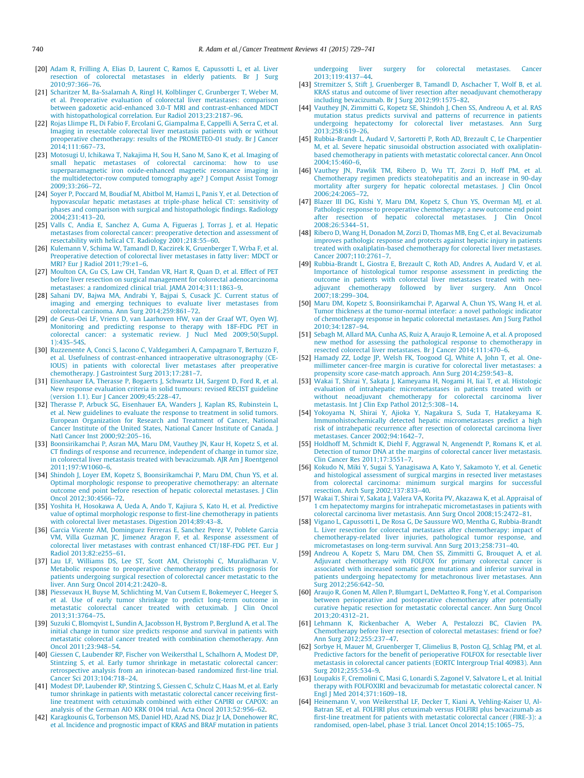- <span id="page-11-0"></span>[20] [Adam R, Frilling A, Elias D, Laurent C, Ramos E, Capussotti L, et al. Liver](https://refhub.elsevier.com/S0305-7372(15)00128-0/h0100) [resection of colorectal metastases in elderly patients. Br J Surg](https://refhub.elsevier.com/S0305-7372(15)00128-0/h0100) [2010;97:366–76.](https://refhub.elsevier.com/S0305-7372(15)00128-0/h0100)
- [21] [Scharitzer M, Ba-Ssalamah A, Ringl H, Kolblinger C, Grunberger T, Weber M,](https://refhub.elsevier.com/S0305-7372(15)00128-0/h0105) [et al. Preoperative evaluation of colorectal liver metastases: comparison](https://refhub.elsevier.com/S0305-7372(15)00128-0/h0105) [between gadoxetic acid-enhanced 3.0-T MRI and contrast-enhanced MDCT](https://refhub.elsevier.com/S0305-7372(15)00128-0/h0105) [with histopathological correlation. Eur Radiol 2013;23:2187–96](https://refhub.elsevier.com/S0305-7372(15)00128-0/h0105).
- [22] [Rojas Llimpe FL, Di Fabio F, Ercolani G, Giampalma E, Cappelli A, Serra C, et al.](https://refhub.elsevier.com/S0305-7372(15)00128-0/h0110) [Imaging in resectable colorectal liver metastasis patients with or without](https://refhub.elsevier.com/S0305-7372(15)00128-0/h0110) [preoperative chemotherapy: results of the PROMETEO-01 study. Br J Cancer](https://refhub.elsevier.com/S0305-7372(15)00128-0/h0110)  $2014.111.667 - 73$
- [23] [Motosugi U, Ichikawa T, Nakajima H, Sou H, Sano M, Sano K, et al. Imaging of](https://refhub.elsevier.com/S0305-7372(15)00128-0/h0115) [small hepatic metastases of colorectal carcinoma: how to use](https://refhub.elsevier.com/S0305-7372(15)00128-0/h0115) [superparamagnetic iron oxide-enhanced magnetic resonance imaging in](https://refhub.elsevier.com/S0305-7372(15)00128-0/h0115) [the multidetector-row computed tomography age? J Comput Assist Tomogr](https://refhub.elsevier.com/S0305-7372(15)00128-0/h0115) [2009;33:266–72.](https://refhub.elsevier.com/S0305-7372(15)00128-0/h0115)
- [24] [Soyer P, Poccard M, Boudiaf M, Abitbol M, Hamzi L, Panis Y, et al. Detection of](https://refhub.elsevier.com/S0305-7372(15)00128-0/h0120) [hypovascular hepatic metastases at triple-phase helical CT: sensitivity of](https://refhub.elsevier.com/S0305-7372(15)00128-0/h0120) [phases and comparison with surgical and histopathologic findings. Radiology](https://refhub.elsevier.com/S0305-7372(15)00128-0/h0120) [2004;231:413–20.](https://refhub.elsevier.com/S0305-7372(15)00128-0/h0120)
- [25] [Valls C, Andia E, Sanchez A, Guma A, Figueras J, Torras J, et al. Hepatic](https://refhub.elsevier.com/S0305-7372(15)00128-0/h0125) [metastases from colorectal cancer: preoperative detection and assessment of](https://refhub.elsevier.com/S0305-7372(15)00128-0/h0125) [resectability with helical CT. Radiology 2001;218:55–60](https://refhub.elsevier.com/S0305-7372(15)00128-0/h0125).
- [26] [Kulemann V, Schima W, Tamandl D, Kaczirek K, Gruenberger T, Wrba F, et al.](https://refhub.elsevier.com/S0305-7372(15)00128-0/h0130) [Preoperative detection of colorectal liver metastases in fatty liver: MDCT or](https://refhub.elsevier.com/S0305-7372(15)00128-0/h0130) [MRI? Eur J Radiol 2011;79:e1–6](https://refhub.elsevier.com/S0305-7372(15)00128-0/h0130).
- [27] [Moulton CA, Gu CS, Law CH, Tandan VR, Hart R, Quan D, et al. Effect of PET](https://refhub.elsevier.com/S0305-7372(15)00128-0/h0135) [before liver resection on surgical management for colorectal adenocarcinoma](https://refhub.elsevier.com/S0305-7372(15)00128-0/h0135) [metastases: a randomized clinical trial. JAMA 2014;311:1863–9](https://refhub.elsevier.com/S0305-7372(15)00128-0/h0135).
- [28] [Sahani DV, Bajwa MA, Andrabi Y, Bajpai S, Cusack JC. Current status of](https://refhub.elsevier.com/S0305-7372(15)00128-0/h0140) [imaging and emerging techniques to evaluate liver metastases from](https://refhub.elsevier.com/S0305-7372(15)00128-0/h0140) [colorectal carcinoma. Ann Surg 2014;259:861–72](https://refhub.elsevier.com/S0305-7372(15)00128-0/h0140).
- [29] [de Geus-Oei LF, Vriens D, van Laarhoven HW, van der Graaf WT, Oyen WJ.](https://refhub.elsevier.com/S0305-7372(15)00128-0/h0145) [Monitoring and predicting response to therapy with 18F-FDG PET in](https://refhub.elsevier.com/S0305-7372(15)00128-0/h0145) [colorectal cancer: a systematic review. J Nucl Med 2009;50\(Suppl.](https://refhub.elsevier.com/S0305-7372(15)00128-0/h0145) [1\):43S–54S.](https://refhub.elsevier.com/S0305-7372(15)00128-0/h0145)
- [30] [Ruzzenente A, Conci S, Iacono C, Valdegamberi A, Campagnaro T, Bertuzzo F,](https://refhub.elsevier.com/S0305-7372(15)00128-0/h0150) [et al. Usefulness of contrast-enhanced intraoperative ultrasonography \(CE-](https://refhub.elsevier.com/S0305-7372(15)00128-0/h0150)[IOUS\) in patients with colorectal liver metastases after preoperative](https://refhub.elsevier.com/S0305-7372(15)00128-0/h0150) [chemotherapy. J Gastrointest Surg 2013;17:281–7](https://refhub.elsevier.com/S0305-7372(15)00128-0/h0150).
- [31] [Eisenhauer EA, Therasse P, Bogaerts J, Schwartz LH, Sargent D, Ford R, et al.](https://refhub.elsevier.com/S0305-7372(15)00128-0/h0155) [New response evaluation criteria in solid tumours: revised RECIST guideline](https://refhub.elsevier.com/S0305-7372(15)00128-0/h0155) [\(version 1.1\). Eur J Cancer 2009;45:228–47](https://refhub.elsevier.com/S0305-7372(15)00128-0/h0155).
- [32] [Therasse P, Arbuck SG, Eisenhauer EA, Wanders J, Kaplan RS, Rubinstein L,](https://refhub.elsevier.com/S0305-7372(15)00128-0/h0160) [et al. New guidelines to evaluate the response to treatment in solid tumors.](https://refhub.elsevier.com/S0305-7372(15)00128-0/h0160) [European Organization for Research and Treatment of Cancer, National](https://refhub.elsevier.com/S0305-7372(15)00128-0/h0160) [Cancer Institute of the United States, National Cancer Institute of Canada. J](https://refhub.elsevier.com/S0305-7372(15)00128-0/h0160) [Natl Cancer Inst 2000;92:205–16.](https://refhub.elsevier.com/S0305-7372(15)00128-0/h0160)
- [33] [Boonsirikamchai P, Asran MA, Maru DM, Vauthey JN, Kaur H, Kopetz S, et al.](https://refhub.elsevier.com/S0305-7372(15)00128-0/h0165) [CT findings of response and recurrence, independent of change in tumor size,](https://refhub.elsevier.com/S0305-7372(15)00128-0/h0165) [in colorectal liver metastasis treated with bevacizumab. AJR Am J Roentgenol](https://refhub.elsevier.com/S0305-7372(15)00128-0/h0165) [2011;197:W1060–6](https://refhub.elsevier.com/S0305-7372(15)00128-0/h0165).
- [34] [Shindoh J, Loyer EM, Kopetz S, Boonsirikamchai P, Maru DM, Chun YS, et al.](https://refhub.elsevier.com/S0305-7372(15)00128-0/h0170) [Optimal morphologic response to preoperative chemotherapy: an alternate](https://refhub.elsevier.com/S0305-7372(15)00128-0/h0170) [outcome end point before resection of hepatic colorectal metastases. J Clin](https://refhub.elsevier.com/S0305-7372(15)00128-0/h0170) [Oncol 2012;30:4566–72](https://refhub.elsevier.com/S0305-7372(15)00128-0/h0170).
- [35] [Yoshita H, Hosokawa A, Ueda A, Ando T, Kajiura S, Kato H, et al. Predictive](https://refhub.elsevier.com/S0305-7372(15)00128-0/h0175) [value of optimal morphologic response to first-line chemotherapy in patients](https://refhub.elsevier.com/S0305-7372(15)00128-0/h0175) [with colorectal liver metastases. Digestion 2014;89:43–8.](https://refhub.elsevier.com/S0305-7372(15)00128-0/h0175)
- [36] [Garcia Vicente AM, Dominguez Ferreras E, Sanchez Perez V, Poblete Garcia](https://refhub.elsevier.com/S0305-7372(15)00128-0/h0180) [VM, Villa Guzman JC, Jimenez Aragon F, et al. Response assessment of](https://refhub.elsevier.com/S0305-7372(15)00128-0/h0180) [colorectal liver metastases with contrast enhanced CT/18F-FDG PET. Eur J](https://refhub.elsevier.com/S0305-7372(15)00128-0/h0180) [Radiol 2013;82:e255–61](https://refhub.elsevier.com/S0305-7372(15)00128-0/h0180).
- [37] [Lau LF, Williams DS, Lee ST, Scott AM, Christophi C, Muralidharan V.](https://refhub.elsevier.com/S0305-7372(15)00128-0/h0185) [Metabolic response to preoperative chemotherapy predicts prognosis for](https://refhub.elsevier.com/S0305-7372(15)00128-0/h0185) [patients undergoing surgical resection of colorectal cancer metastatic to the](https://refhub.elsevier.com/S0305-7372(15)00128-0/h0185) [liver. Ann Surg Oncol 2014;21:2420–8.](https://refhub.elsevier.com/S0305-7372(15)00128-0/h0185)
- [38] [Piessevaux H, Buyse M, Schlichting M, Van Cutsem E, Bokemeyer C, Heeger S,](https://refhub.elsevier.com/S0305-7372(15)00128-0/h0190) [et al. Use of early tumor shrinkage to predict long-term outcome in](https://refhub.elsevier.com/S0305-7372(15)00128-0/h0190) [metastatic colorectal cancer treated with cetuximab. J Clin Oncol](https://refhub.elsevier.com/S0305-7372(15)00128-0/h0190) [2013;31:3764–75.](https://refhub.elsevier.com/S0305-7372(15)00128-0/h0190)
- [39] [Suzuki C, Blomqvist L, Sundin A, Jacobsson H, Bystrom P, Berglund A, et al. The](https://refhub.elsevier.com/S0305-7372(15)00128-0/h0195) [initial change in tumor size predicts response and survival in patients with](https://refhub.elsevier.com/S0305-7372(15)00128-0/h0195) [metastatic colorectal cancer treated with combination chemotherapy. Ann](https://refhub.elsevier.com/S0305-7372(15)00128-0/h0195) [Oncol 2011;23:948–54](https://refhub.elsevier.com/S0305-7372(15)00128-0/h0195).
- [40] [Giessen C, Laubender RP, Fischer von Weikersthal L, Schalhorn A, Modest DP,](https://refhub.elsevier.com/S0305-7372(15)00128-0/h0200) [Stintzing S, et al. Early tumor shrinkage in metastatic colorectal cancer:](https://refhub.elsevier.com/S0305-7372(15)00128-0/h0200) [retrospective analysis from an irinotecan-based randomized first-line trial.](https://refhub.elsevier.com/S0305-7372(15)00128-0/h0200) [Cancer Sci 2013;104:718–24.](https://refhub.elsevier.com/S0305-7372(15)00128-0/h0200)
- [41] [Modest DP, Laubender RP, Stintzing S, Giessen C, Schulz C, Haas M, et al. Early](https://refhub.elsevier.com/S0305-7372(15)00128-0/h0205) [tumor shrinkage in patients with metastatic colorectal cancer receiving first](https://refhub.elsevier.com/S0305-7372(15)00128-0/h0205)[line treatment with cetuximab combined with either CAPIRI or CAPOX: an](https://refhub.elsevier.com/S0305-7372(15)00128-0/h0205) [analysis of the German AIO KRK 0104 trial. Acta Oncol 2013;52:956–62.](https://refhub.elsevier.com/S0305-7372(15)00128-0/h0205)
- [42] [Karagkounis G, Torbenson MS, Daniel HD, Azad NS, Diaz Jr LA, Donehower RC,](https://refhub.elsevier.com/S0305-7372(15)00128-0/h0210) [et al. Incidence and prognostic impact of KRAS and BRAF mutation in patients](https://refhub.elsevier.com/S0305-7372(15)00128-0/h0210)

[undergoing liver surgery for colorectal metastases. Cancer](https://refhub.elsevier.com/S0305-7372(15)00128-0/h0210) [2013;119:4137–44](https://refhub.elsevier.com/S0305-7372(15)00128-0/h0210).

- [43] [Stremitzer S, Stift J, Gruenberger B, Tamandl D, Aschacher T, Wolf B, et al.](https://refhub.elsevier.com/S0305-7372(15)00128-0/h0215) [KRAS status and outcome of liver resection after neoadjuvant chemotherapy](https://refhub.elsevier.com/S0305-7372(15)00128-0/h0215) [including bevacizumab. Br J Surg 2012;99:1575–82](https://refhub.elsevier.com/S0305-7372(15)00128-0/h0215).
- [44] [Vauthey JN, Zimmitti G, Kopetz SE, Shindoh J, Chen SS, Andreou A, et al. RAS](https://refhub.elsevier.com/S0305-7372(15)00128-0/h0220) [mutation status predicts survival and patterns of recurrence in patients](https://refhub.elsevier.com/S0305-7372(15)00128-0/h0220) [undergoing hepatectomy for colorectal liver metastases. Ann Surg](https://refhub.elsevier.com/S0305-7372(15)00128-0/h0220) [2013;258:619–26.](https://refhub.elsevier.com/S0305-7372(15)00128-0/h0220)
- [45] [Rubbia-Brandt L, Audard V, Sartoretti P, Roth AD, Brezault C, Le Charpentier](https://refhub.elsevier.com/S0305-7372(15)00128-0/h0225) [M, et al. Severe hepatic sinusoidal obstruction associated with oxaliplatin](https://refhub.elsevier.com/S0305-7372(15)00128-0/h0225)[based chemotherapy in patients with metastatic colorectal cancer. Ann Oncol](https://refhub.elsevier.com/S0305-7372(15)00128-0/h0225) [2004;15:460–6.](https://refhub.elsevier.com/S0305-7372(15)00128-0/h0225)
- [46] [Vauthey JN, Pawlik TM, Ribero D, Wu TT, Zorzi D, Hoff PM, et al.](https://refhub.elsevier.com/S0305-7372(15)00128-0/h0230) [Chemotherapy regimen predicts steatohepatitis and an increase in 90-day](https://refhub.elsevier.com/S0305-7372(15)00128-0/h0230) [mortality after surgery for hepatic colorectal metastases. J Clin Oncol](https://refhub.elsevier.com/S0305-7372(15)00128-0/h0230) [2006;24:2065–72.](https://refhub.elsevier.com/S0305-7372(15)00128-0/h0230)
- [47] [Blazer III DG, Kishi Y, Maru DM, Kopetz S, Chun YS, Overman MJ, et al.](https://refhub.elsevier.com/S0305-7372(15)00128-0/h0235) [Pathologic response to preoperative chemotherapy: a new outcome end point](https://refhub.elsevier.com/S0305-7372(15)00128-0/h0235) [after resection of hepatic colorectal metastases. J Clin Oncol](https://refhub.elsevier.com/S0305-7372(15)00128-0/h0235) [2008;26:5344–51.](https://refhub.elsevier.com/S0305-7372(15)00128-0/h0235)
- [48] [Ribero D, Wang H, Donadon M, Zorzi D, Thomas MB, Eng C, et al. Bevacizumab](https://refhub.elsevier.com/S0305-7372(15)00128-0/h0240) [improves pathologic response and protects against hepatic injury in patients](https://refhub.elsevier.com/S0305-7372(15)00128-0/h0240) [treated with oxaliplatin-based chemotherapy for colorectal liver metastases.](https://refhub.elsevier.com/S0305-7372(15)00128-0/h0240) [Cancer 2007;110:2761–7](https://refhub.elsevier.com/S0305-7372(15)00128-0/h0240).
- [49] [Rubbia-Brandt L, Giostra E, Brezault C, Roth AD, Andres A, Audard V, et al.](https://refhub.elsevier.com/S0305-7372(15)00128-0/h0245) [Importance of histological tumor response assessment in predicting the](https://refhub.elsevier.com/S0305-7372(15)00128-0/h0245) [outcome in patients with colorectal liver metastases treated with neo](https://refhub.elsevier.com/S0305-7372(15)00128-0/h0245)[adjuvant chemotherapy followed by liver surgery. Ann Oncol](https://refhub.elsevier.com/S0305-7372(15)00128-0/h0245) [2007;18:299–304.](https://refhub.elsevier.com/S0305-7372(15)00128-0/h0245)
- [50] [Maru DM, Kopetz S, Boonsirikamchai P, Agarwal A, Chun YS, Wang H, et al.](https://refhub.elsevier.com/S0305-7372(15)00128-0/h0250) [Tumor thickness at the tumor-normal interface: a novel pathologic indicator](https://refhub.elsevier.com/S0305-7372(15)00128-0/h0250) [of chemotherapy response in hepatic colorectal metastases. Am J Surg Pathol](https://refhub.elsevier.com/S0305-7372(15)00128-0/h0250) [2010;34:1287–94.](https://refhub.elsevier.com/S0305-7372(15)00128-0/h0250)
- [51] [Sebagh M, Allard MA, Cunha AS, Ruiz A, Araujo R, Lemoine A, et al. A proposed](https://refhub.elsevier.com/S0305-7372(15)00128-0/h0255) [new method for assessing the pathological response to chemotherapy in](https://refhub.elsevier.com/S0305-7372(15)00128-0/h0255) [resected colorectal liver metastases. Br J Cancer 2014;111:470–6](https://refhub.elsevier.com/S0305-7372(15)00128-0/h0255).
- [52] [Hamady ZZ, Lodge JP, Welsh FK, Toogood GJ, White A, John T, et al. One](https://refhub.elsevier.com/S0305-7372(15)00128-0/h0260)[millimeter cancer-free margin is curative for colorectal liver metastases: a](https://refhub.elsevier.com/S0305-7372(15)00128-0/h0260) [propensity score case-match approach. Ann Surg 2014;259:543–8.](https://refhub.elsevier.com/S0305-7372(15)00128-0/h0260)
- [53] [Wakai T, Shirai Y, Sakata J, Kameyama H, Nogami H, Iiai T, et al. Histologic](https://refhub.elsevier.com/S0305-7372(15)00128-0/h0265) [evaluation of intrahepatic micrometastases in patients treated with or](https://refhub.elsevier.com/S0305-7372(15)00128-0/h0265) [without neoadjuvant chemotherapy for colorectal carcinoma liver](https://refhub.elsevier.com/S0305-7372(15)00128-0/h0265) [metastasis. Int J Clin Exp Pathol 2012;5:308–14.](https://refhub.elsevier.com/S0305-7372(15)00128-0/h0265)
- [54] [Yokoyama N, Shirai Y, Ajioka Y, Nagakura S, Suda T, Hatakeyama K.](https://refhub.elsevier.com/S0305-7372(15)00128-0/h0270) [Immunohistochemically detected hepatic micrometastases predict a high](https://refhub.elsevier.com/S0305-7372(15)00128-0/h0270) [risk of intrahepatic recurrence after resection of colorectal carcinoma liver](https://refhub.elsevier.com/S0305-7372(15)00128-0/h0270) [metastases. Cancer 2002;94:1642–7.](https://refhub.elsevier.com/S0305-7372(15)00128-0/h0270)
- [55] [Holdhoff M, Schmidt K, Diehl F, Aggrawal N, Angenendt P, Romans K, et al.](https://refhub.elsevier.com/S0305-7372(15)00128-0/h0275) [Detection of tumor DNA at the margins of colorectal cancer liver metastasis.](https://refhub.elsevier.com/S0305-7372(15)00128-0/h0275) [Clin Cancer Res 2011;17:3551–7.](https://refhub.elsevier.com/S0305-7372(15)00128-0/h0275)
- [56] [Kokudo N, Miki Y, Sugai S, Yanagisawa A, Kato Y, Sakamoto Y, et al. Genetic](https://refhub.elsevier.com/S0305-7372(15)00128-0/h0280) [and histological assessment of surgical margins in resected liver metastases](https://refhub.elsevier.com/S0305-7372(15)00128-0/h0280) [from colorectal carcinoma: minimum surgical margins for successful](https://refhub.elsevier.com/S0305-7372(15)00128-0/h0280) [resection. Arch Surg 2002;137:833–40.](https://refhub.elsevier.com/S0305-7372(15)00128-0/h0280)
- [57] [Wakai T, Shirai Y, Sakata J, Valera VA, Korita PV, Akazawa K, et al. Appraisal of](https://refhub.elsevier.com/S0305-7372(15)00128-0/h0285) [1 cm hepatectomy margins for intrahepatic micrometastases in patients with](https://refhub.elsevier.com/S0305-7372(15)00128-0/h0285) [colorectal carcinoma liver metastasis. Ann Surg Oncol 2008;15:2472–81.](https://refhub.elsevier.com/S0305-7372(15)00128-0/h0285)
- [58] [Vigano L, Capussotti L, De Rosa G, De Saussure WO, Mentha G, Rubbia-Brandt](https://refhub.elsevier.com/S0305-7372(15)00128-0/h0290) [L. Liver resection for colorectal metastases after chemotherapy: impact of](https://refhub.elsevier.com/S0305-7372(15)00128-0/h0290) [chemotherapy-related liver injuries, pathological tumor response, and](https://refhub.elsevier.com/S0305-7372(15)00128-0/h0290) [micrometastases on long-term survival. Ann Surg 2013;258:731–40.](https://refhub.elsevier.com/S0305-7372(15)00128-0/h0290)
- [59] [Andreou A, Kopetz S, Maru DM, Chen SS, Zimmitti G, Brouquet A, et al.](https://refhub.elsevier.com/S0305-7372(15)00128-0/h0295) [Adjuvant chemotherapy with FOLFOX for primary colorectal cancer is](https://refhub.elsevier.com/S0305-7372(15)00128-0/h0295) [associated with increased somatic gene mutations and inferior survival in](https://refhub.elsevier.com/S0305-7372(15)00128-0/h0295) [patients undergoing hepatectomy for metachronous liver metastases. Ann](https://refhub.elsevier.com/S0305-7372(15)00128-0/h0295) [Surg 2012;256:642–50](https://refhub.elsevier.com/S0305-7372(15)00128-0/h0295).
- [60] [Araujo R, Gonen M, Allen P, Blumgart L, DeMatteo R, Fong Y, et al. Comparison](https://refhub.elsevier.com/S0305-7372(15)00128-0/h0300) [between perioperative and postoperative chemotherapy after potentially](https://refhub.elsevier.com/S0305-7372(15)00128-0/h0300) [curative hepatic resection for metastatic colorectal cancer. Ann Surg Oncol](https://refhub.elsevier.com/S0305-7372(15)00128-0/h0300) [2013;20:4312–21.](https://refhub.elsevier.com/S0305-7372(15)00128-0/h0300)
- [61] [Lehmann K, Rickenbacher A, Weber A, Pestalozzi BC, Clavien PA.](https://refhub.elsevier.com/S0305-7372(15)00128-0/h0305) [Chemotherapy before liver resection of colorectal metastases: friend or foe?](https://refhub.elsevier.com/S0305-7372(15)00128-0/h0305) [Ann Surg 2012;255:237–47.](https://refhub.elsevier.com/S0305-7372(15)00128-0/h0305)
- [62] [Sorbye H, Mauer M, Gruenberger T, Glimelius B, Poston GJ, Schlag PM, et al.](https://refhub.elsevier.com/S0305-7372(15)00128-0/h0310) [Predictive factors for the benefit of perioperative FOLFOX for resectable liver](https://refhub.elsevier.com/S0305-7372(15)00128-0/h0310) [metastasis in colorectal cancer patients \(EORTC Intergroup Trial 40983\). Ann](https://refhub.elsevier.com/S0305-7372(15)00128-0/h0310) [Surg 2012;255:534–9.](https://refhub.elsevier.com/S0305-7372(15)00128-0/h0310)
- [63] [Loupakis F, Cremolini C, Masi G, Lonardi S, Zagonel V, Salvatore L, et al. Initial](https://refhub.elsevier.com/S0305-7372(15)00128-0/h0315) [therapy with FOLFOXIRI and bevacizumab for metastatic colorectal cancer. N](https://refhub.elsevier.com/S0305-7372(15)00128-0/h0315) [Engl J Med 2014;371:1609–18](https://refhub.elsevier.com/S0305-7372(15)00128-0/h0315).
- [64] [Heinemann V, von Weikersthal LF, Decker T, Kiani A, Vehling-Kaiser U, Al-](https://refhub.elsevier.com/S0305-7372(15)00128-0/h0320)[Batran SE, et al. FOLFIRI plus cetuximab versus FOLFIRI plus bevacizumab as](https://refhub.elsevier.com/S0305-7372(15)00128-0/h0320) [first-line treatment for patients with metastatic colorectal cancer \(FIRE-3\): a](https://refhub.elsevier.com/S0305-7372(15)00128-0/h0320) [randomised, open-label, phase 3 trial. Lancet Oncol 2014;15:1065–75](https://refhub.elsevier.com/S0305-7372(15)00128-0/h0320).